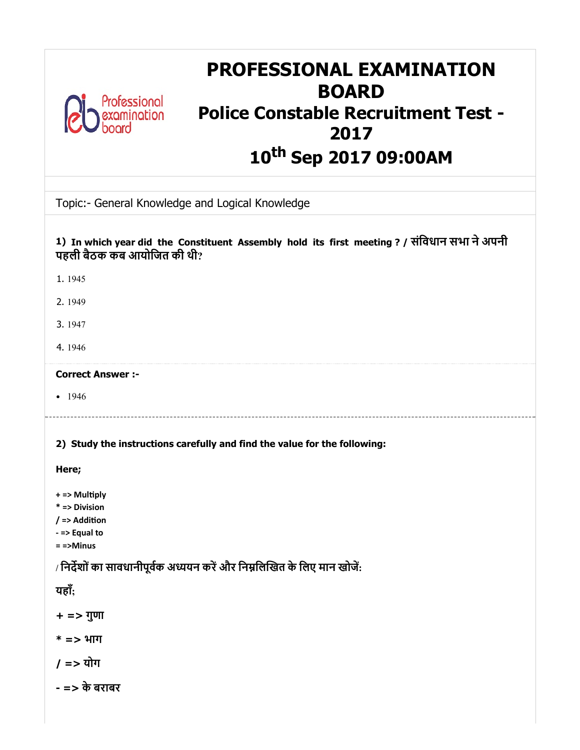| <b>PROFESSIONAL EXAMINATION</b><br><b>BOARD</b><br>Professional<br><b>Police Constable Recruitment Test -</b><br>2017<br>10 <sup>th</sup> Sep 2017 09:00AM                                                                          |
|-------------------------------------------------------------------------------------------------------------------------------------------------------------------------------------------------------------------------------------|
| Topic:- General Knowledge and Logical Knowledge                                                                                                                                                                                     |
| 1) In which year did the Constituent Assembly hold its first meeting ? / संविधान सभा ने अपनी<br>पहली बैठक कब आयोजित की थी?                                                                                                          |
| 1.1945                                                                                                                                                                                                                              |
| 2.1949                                                                                                                                                                                                                              |
| 3.1947                                                                                                                                                                                                                              |
| 4.1946                                                                                                                                                                                                                              |
| <b>Correct Answer :-</b>                                                                                                                                                                                                            |
| $-1946$                                                                                                                                                                                                                             |
| 2) Study the instructions carefully and find the value for the following:<br>Here;                                                                                                                                                  |
| + => Multiply<br>* => Division<br>/ => Addition<br>- => Equal to<br>$=$ =>Minus<br>/ निर्देशों का सावधानीपूर्वक अध्ययन करें और निम्नलिखित के लिए मान खोजें:<br>यहाँ;<br>$+ =$ > गुणा<br>$* =$ > भाग<br>$/ =$ > योग<br>- => के बराबर |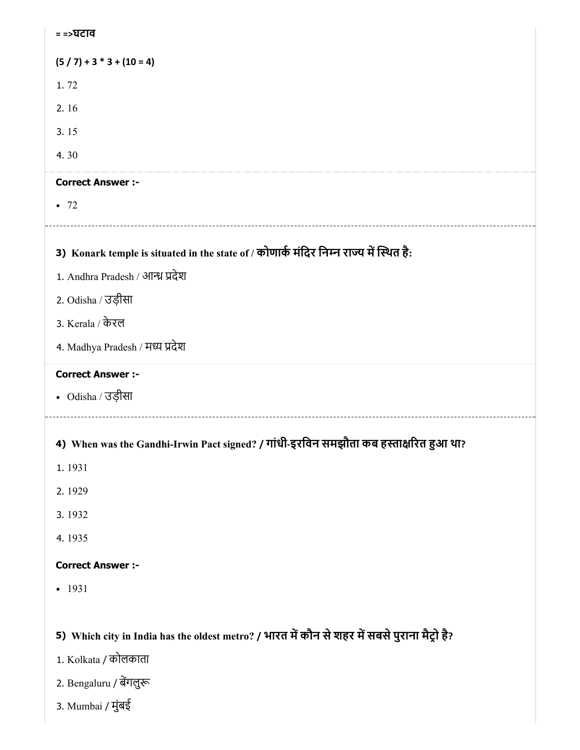3) Konark temple is situated in the state of / कोणार्क मंदिर निम्न राज्य में स्थित है: 4) When was the Gandhi-Irwin Pact signed? / गांधी-इरिवन समझौता कब हारत आ था? 5) Which city in India has the oldest metro? / भारत में कौन से शहर में सबसे पुराना मैट्रो है? = =>घटाव  $(5 / 7) + 3 * 3 + (10 = 4)$ 1. 72 2. 16 3. 15 4. 30 Correct Answer :-  $-72$ 1. Andhra Pradesh / आन्ध्र प्रदेश 2. Odisha / उड़ीसा 3. Kerala / केरल 4. Madhya Pradesh / मय देश Correct Answer :- Odisha / उड़ीसा 1. 1931 2. 1929 3. 1932 4. 1935 Correct Answer :- • 1931 1. Kolkata / कोलकाता 2. Bengaluru / बेंगलुरू 3. Mumbai / मुंबई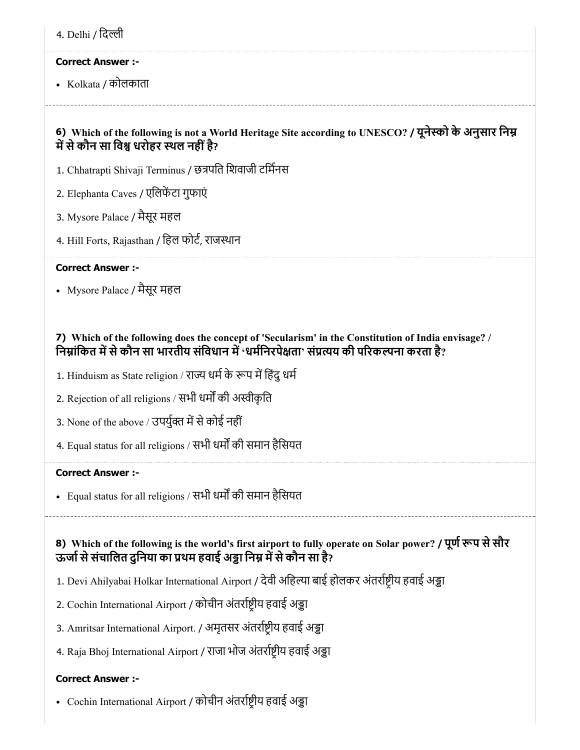4. Delhi / िदी

### Correct Answer :-

• Kolkata / कोलकाता

# 6) Which of the following is not a World Heritage Site according to UNESCO? / यूनेस्को के अनुसार निम्न में से कौन सा विश्व धरोहर स्थल नहीं है?

- 1. Chhatrapti Shivaji Terminus / छत्रपति शिवाजी टर्मिनस
- 2. Elephanta Caves / एलिफेंटा गुफाएं
- 3. Mysore Palace / मैसूर महल
- 4. Hill Forts, Rajasthan / िहल फोट, राजथान

# Correct Answer :-

Mysore Palace / मैसूर महल

# 7) Which of the following does the concept of 'Secularism' in the Constitution of India envisage? / निम्नांकित में से कौन सा भारतीय संविधान में 'धर्मनिरपेक्षता' संप्रत्यय की परिकल्पना करता है?

- 1. Hinduism as State religion / राज्य धर्म के रूप में हिंदु धर्म
- 2. Rejection of all religions / सभी धर्मों की अस्वीकृति
- 3. None of the above / उपर्युक्त में से कोई नहीं
- 4. Equal status for all religions / सभी धर्मों की समान हैसियत

# Correct Answer :-

• Equal status for all religions / सभी धर्मों की समान हैसियत

# 8) Which of the following is the world's first airport to fully operate on Solar power? / पूर्ण रूप से सौर ऊर्जा से संचालित दुनिया का प्रथम हवाई अड्डा निम्न में से कौन सा है?

- 1. Devi Ahilyabai Holkar International Airport / देवी अहिल्या बाई होलकर अंतर्राष्ट्रीय हवाई अड्डा
- 2. Cochin International Airport / कोचीन अंतर्राष्ट्रीय हवाई अड्डा
- 3. Amritsar International Airport. / अमृतसर अंतर्राष्ट्रीय हवाई अड्डा
- 4. Raja Bhoj International Airport / राजा भोज अंतर्राष्ट्रीय हवाई अड्डा

# Correct Answer :-

• Cochin International Airport / कोचीन अंतर्राष्ट्रीय हवाई अड्डा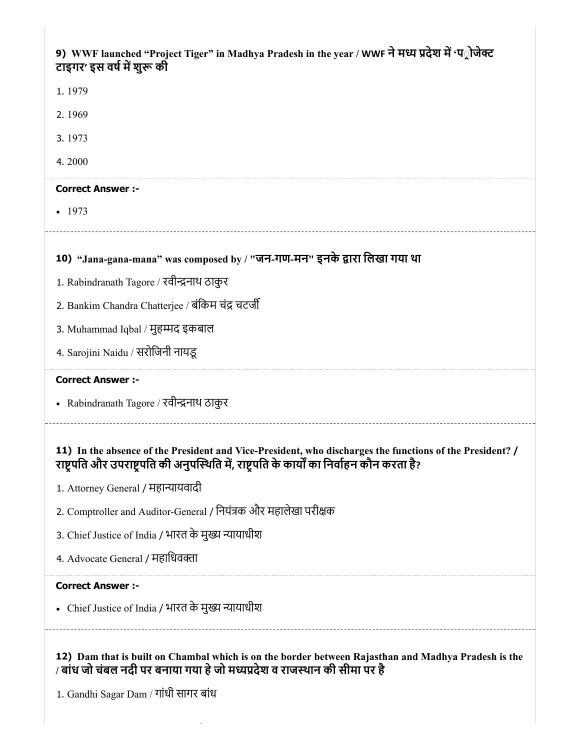| 9) WWF launched "Project Tiger" in Madhya Pradesh in the year / WWF ने मध्य प्रदेश में 'प्रोजेक्ट<br>टाइगर' इस वर्ष में शुरू की                                                                                           |
|---------------------------------------------------------------------------------------------------------------------------------------------------------------------------------------------------------------------------|
| 1.1979                                                                                                                                                                                                                    |
| 2.1969                                                                                                                                                                                                                    |
| 3.1973                                                                                                                                                                                                                    |
| 4.2000                                                                                                                                                                                                                    |
| <b>Correct Answer :-</b>                                                                                                                                                                                                  |
| $-1973$                                                                                                                                                                                                                   |
| 10) "Jana-gana-mana" was composed by / "जन-गण-मन" इनके द्वारा लिखा गया था                                                                                                                                                 |
| 1. Rabindranath Tagore / रवीन्द्रनाथ ठाकुर                                                                                                                                                                                |
| 2. Bankim Chandra Chatterjee / बंकिम चंद्र चटर्जी                                                                                                                                                                         |
| 3. Muhammad Iqbal / मुहम्मद इकबाल                                                                                                                                                                                         |
| 4. Sarojini Naidu / सरोजिनी नायडू                                                                                                                                                                                         |
| <b>Correct Answer :-</b>                                                                                                                                                                                                  |
| • Rabindranath Tagore / रवीन्द्रनाथ ठाकुर                                                                                                                                                                                 |
| 11) In the absence of the President and Vice-President, who discharges the functions of the President? /<br>राष्ट्रपति और उपराष्ट्रपति की अनुपस्थिति में, राष्ट्रपति के कार्यों का निर्वाहन कौन करता है?                  |
| 1. Attorney General / महान्यायवादी                                                                                                                                                                                        |
| 2. Comptroller and Auditor-General / नियंत्रक और महालेखा परीक्षक                                                                                                                                                          |
| 3. Chief Justice of India / भारत के मुख्य न्यायाधीश                                                                                                                                                                       |
| 4. Advocate General / महाधिवक्ता                                                                                                                                                                                          |
| <b>Correct Answer :-</b>                                                                                                                                                                                                  |
| • Chief Justice of India / भारत के मुख्य न्यायाधीश                                                                                                                                                                        |
| 12) Dam that is built on Chambal which is on the border between Rajasthan and Madhya Pradesh is the<br>/ बांध जो चंबल नदी पर बनाया गया हे जो मध्यप्रदेश व राजस्थान की सीमा पर है<br>1. Gandhi Sagar Dam / गांधी सागर बांध |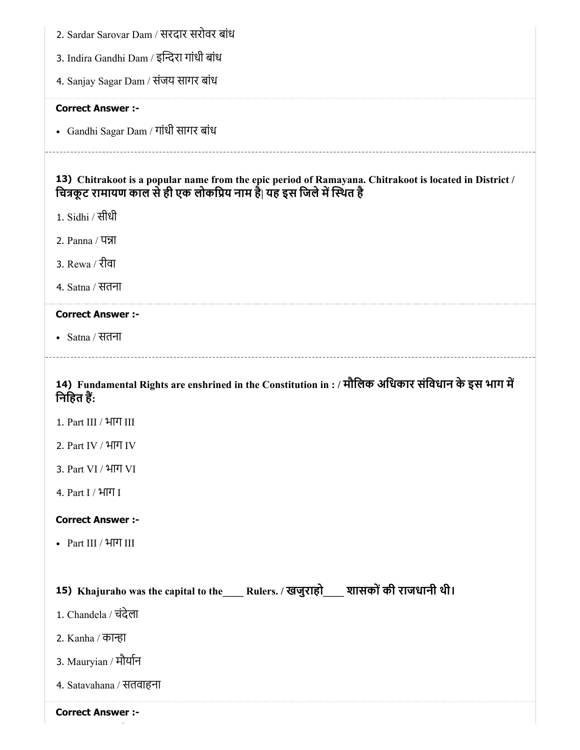| 2. Sardar Sarovar Dam / सरदार सरोवर बांध                                                                                                                                        |
|---------------------------------------------------------------------------------------------------------------------------------------------------------------------------------|
| 3. Indira Gandhi Dam / इन्दिरा गांधी बांध                                                                                                                                       |
| 4. Sanjay Sagar Dam / संजय सागर बांध                                                                                                                                            |
| <b>Correct Answer :-</b>                                                                                                                                                        |
| • Gandhi Sagar Dam / गांधी सागर बांध                                                                                                                                            |
| 13) Chitrakoot is a popular name from the epic period of Ramayana. Chitrakoot is located in District /<br>चित्रकूट रामायण काल से ही एक लोकप्रिय नाम है  यह इस जिले में स्थित है |
| 1. Sidhi / सीधी                                                                                                                                                                 |
| 2. Panna / पन्ना                                                                                                                                                                |
| 3. Rewa / रीवा                                                                                                                                                                  |
| 4. Satna / सतना                                                                                                                                                                 |
| <b>Correct Answer :-</b>                                                                                                                                                        |
| • Satna / सतना                                                                                                                                                                  |
| 14) Fundamental Rights are enshrined in the Constitution in : / मौलिक अधिकार संविधान के इस भाग में<br>निहित हैं:                                                                |
| 1. Part III / भाग III                                                                                                                                                           |
| 2. Part IV / भाग IV                                                                                                                                                             |
| 3. Part VI / भाग VI                                                                                                                                                             |
| 4. Part I / भाग I                                                                                                                                                               |
| <b>Correct Answer :-</b>                                                                                                                                                        |
| • Part III / भाग III                                                                                                                                                            |
|                                                                                                                                                                                 |
| 15) Khajuraho was the capital to the____ Rulers. / खजुराहो___ शासकों की राजधानी थी।                                                                                             |
| 1. Chandela / चंदेला                                                                                                                                                            |
| 2. Kanha / कान्हा                                                                                                                                                               |
| 3. Mauryian / मौर्यान                                                                                                                                                           |
| 4. Satavahana / सतवाहना                                                                                                                                                         |
| <b>Correct Answer :-</b>                                                                                                                                                        |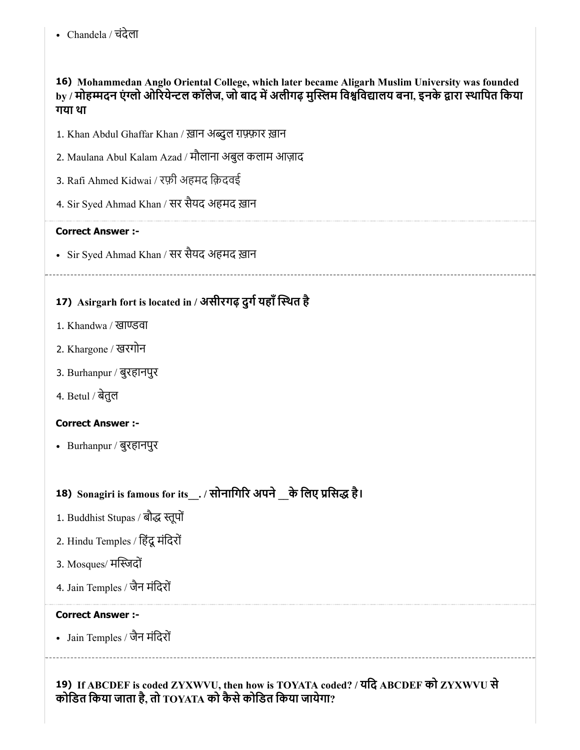16) Mohammedan Anglo Oriental College, which later became Aligarh Muslim University was founded by / मोहम्मदन एंग्लो ओरियेन्टल कॉलेज, जो बाद में अलीगढ़ मुस्लिम विश्वविद्यालय बना, इनके द्वारा स्थापित किया गया था

- 1. Khan Abdul Ghaffar Khan / ख़ान अब्दुल ग़फ़्फ़ार ख़ान
- 2. Maulana Abul Kalam Azad / मौलाना अबुल कलाम आज़ाद
- 3. Rafi Ahmed Kidwai / रफ़ी अहमद िक़दवई
- 4. Sir Syed Ahmad Khan / सर सैयद अहमद ख़ान

# Correct Answer :-

Sir Syed Ahmad Khan / सर सैयद अहमद ख़ान

# 17) Asirgarh fort is located in / असीरगढ़ दुर्ग यहाँ स्थित है

- 1. Khandwa / खाण्डवा
- 2. Khargone / खरगोन
- 3. Burhanpur / बुरहानपुर
- 4. Betul / बेतुल

# Correct Answer :-

Burhanpur / बुरहानपुर

# 18) Sonagiri is famous for its\_\_. / सोनागिरि अपने \_\_के लिए प्रसिद्ध है।

- 1. Buddhist Stupas / बौद्ध स्तूपों
- 2. Hindu Temples / िहंदूमंिदरों
- 3. Mosques/ मदों
- 4. Jain Temples / जैन मंिदरों

#### Correct Answer :-

Jain Temples / जैन मंिदरों

19) If ABCDEF is coded ZYXWVU, then how is TOYATA coded? / यिद ABCDEF को ZYXWVU से कोडित किया जाता है, तो  $_{\rm TOYATA}$  को कैसे कोडित किया जायेगा?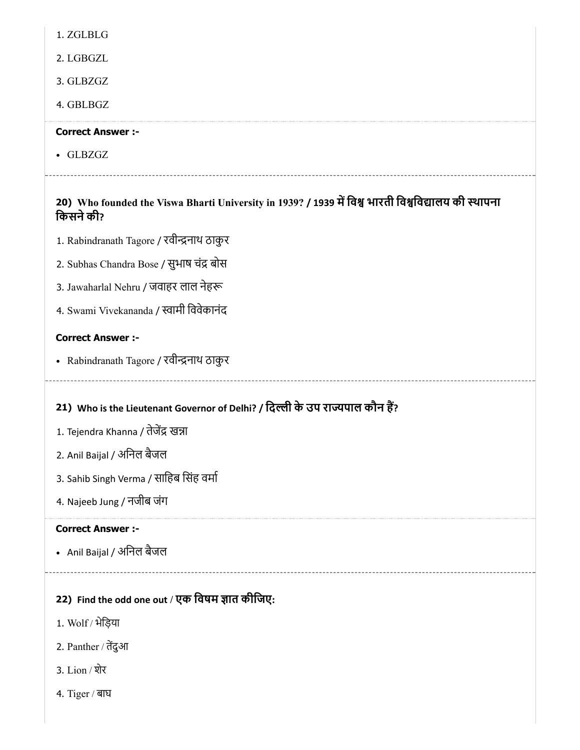1. ZGLBLG

2. LGBGZL

3. GLBZGZ

4. GBLBGZ

# Correct Answer :-

GLBZGZ

# 20) Who founded the Viswa Bharti University in 1939? / 1939 मिव भारती िविवालय की थापना किसने की?

- 1. Rabindranath Tagore / रवीन्द्रनाथ ठाकुर
- 2. Subhas Chandra Bose / सुभाष चंद्र बोस
- 3. Jawaharlal Nehru / जवाहर लाल नेह
- 4. Swami Vivekananda / स्वामी विवेकानंद

# Correct Answer :-

• Rabindranath Tagore / रवीन्द्रनाथ ठाकुर

# 21) Who is the Lieutenant Governor of Delhi? / िदी के उप रापाल कौन ह?

- 1. Tejendra Khanna / तेजेंद्र खन्ना
- 2. Anil Baijal / अिनल बैजल
- 3. Sahib Singh Verma / साहिब सिंह वर्मा
- 4. Najeeb Jung / नजीब जंग

# Correct Answer :-

• Anil Baijal / अनिल बैजल

# 22) Find the odd one out / एक विषम ज्ञात कीजिए:

- 1. Wolf / भेिड़या
- 2. Panther / तदुआ
- 3. Lion / शेर
- 4. Tiger / बाघ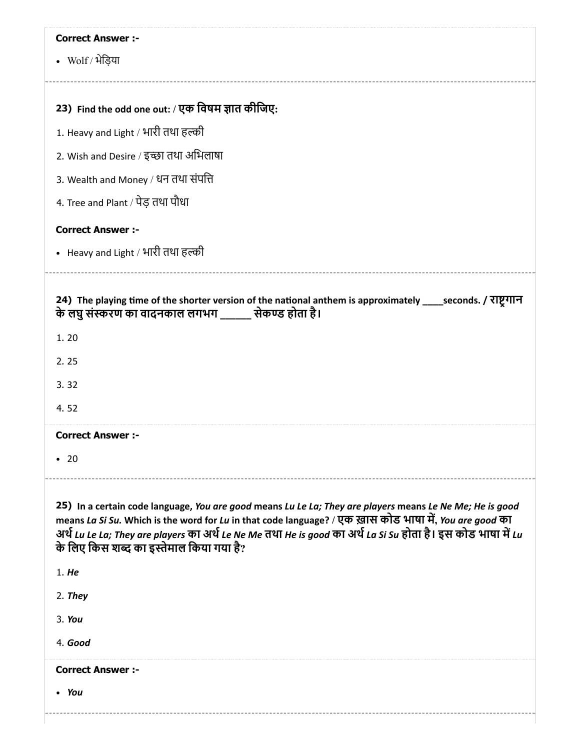| <b>Correct Answer :-</b>                                                                                                                                                                                                                                                                                                                                                         |
|----------------------------------------------------------------------------------------------------------------------------------------------------------------------------------------------------------------------------------------------------------------------------------------------------------------------------------------------------------------------------------|
| • Wolf / भेड़िया                                                                                                                                                                                                                                                                                                                                                                 |
|                                                                                                                                                                                                                                                                                                                                                                                  |
| 23) Find the odd one out: / एक विषम ज्ञात कीजिए:                                                                                                                                                                                                                                                                                                                                 |
| 1. Heavy and Light / भारी तथा हल्की                                                                                                                                                                                                                                                                                                                                              |
| 2. Wish and Desire / इच्छा तथा अभिलाषा                                                                                                                                                                                                                                                                                                                                           |
| 3. Wealth and Money / धन तथा संपत्ति                                                                                                                                                                                                                                                                                                                                             |
| 4. Tree and Plant / पेड़ तथा पौधा                                                                                                                                                                                                                                                                                                                                                |
| <b>Correct Answer :-</b>                                                                                                                                                                                                                                                                                                                                                         |
| • Heavy and Light / भारी तथा हल्की                                                                                                                                                                                                                                                                                                                                               |
|                                                                                                                                                                                                                                                                                                                                                                                  |
| 24) The playing time of the shorter version of the national anthem is approximately ____seconds. / राष्ट्रगान<br>के लघु संस्करण का वादनकाल लगभग _______ सेकण्ड होता है।                                                                                                                                                                                                          |
| 1.20                                                                                                                                                                                                                                                                                                                                                                             |
| 2.25                                                                                                                                                                                                                                                                                                                                                                             |
| 3.32                                                                                                                                                                                                                                                                                                                                                                             |
| 4.52                                                                                                                                                                                                                                                                                                                                                                             |
| <b>Correct Answer :-</b>                                                                                                                                                                                                                                                                                                                                                         |
| $\cdot$ 20                                                                                                                                                                                                                                                                                                                                                                       |
|                                                                                                                                                                                                                                                                                                                                                                                  |
| 25) In a certain code language, You are good means Lu Le La; They are players means Le Ne Me; He is good<br>means La Si Su. Which is the word for Lu in that code language? / एक ख़ास कोड भाषा में, You are good का<br>अर्थ Lu Le La; They are players का अर्थ Le Ne Me तथा He is good का अर्थ La Si Su होता है। इस कोड़ भाषा में Lu<br>के लिए किस शब्द का इस्तेमाल किया गया है? |
| 1. He                                                                                                                                                                                                                                                                                                                                                                            |
| 2. They                                                                                                                                                                                                                                                                                                                                                                          |
| 3. You                                                                                                                                                                                                                                                                                                                                                                           |
| 4. Good                                                                                                                                                                                                                                                                                                                                                                          |
| <b>Correct Answer :-</b>                                                                                                                                                                                                                                                                                                                                                         |
| • You                                                                                                                                                                                                                                                                                                                                                                            |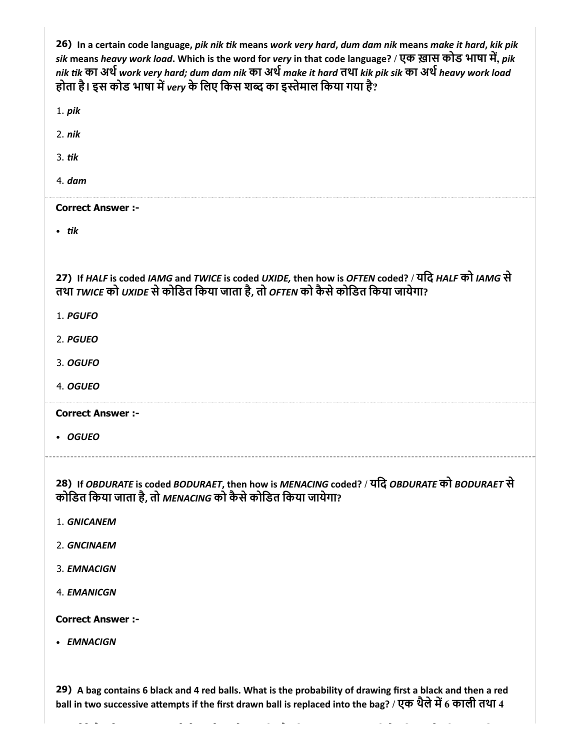| 26) In a certain code language, pik nik tik means work very hard, dum dam nik means make it hard, kik pik<br>sik means heavy work load. Which is the word for very in that code language? / एक ख़ास कोड भाषा में, pik<br>nik tik का अर्थ work very hard; dum dam nik का अर्थ make it hard तथा kik pik sik का अर्थ heavy work load<br>होता है। इस कोड भाषा में very के लिए किस शब्द का इस्तेमाल किया गया है? |
|-------------------------------------------------------------------------------------------------------------------------------------------------------------------------------------------------------------------------------------------------------------------------------------------------------------------------------------------------------------------------------------------------------------|
| $1.$ pik                                                                                                                                                                                                                                                                                                                                                                                                    |
| 2. <i>nik</i>                                                                                                                                                                                                                                                                                                                                                                                               |
| $3.$ tik                                                                                                                                                                                                                                                                                                                                                                                                    |
| 4. dam                                                                                                                                                                                                                                                                                                                                                                                                      |
| <b>Correct Answer :-</b>                                                                                                                                                                                                                                                                                                                                                                                    |
| $\cdot$ tik                                                                                                                                                                                                                                                                                                                                                                                                 |
|                                                                                                                                                                                                                                                                                                                                                                                                             |
| 27) If HALF is coded IAMG and TWICE is coded UXIDE, then how is OFTEN coded? / यदि HALF को IAMG से<br>तथा TWICE को UXIDE से कोडित किया जाता है, तो OFTEN को कैसे कोडित किया जायेगा?                                                                                                                                                                                                                         |
| 1. PGUFO                                                                                                                                                                                                                                                                                                                                                                                                    |
| 2. PGUEO                                                                                                                                                                                                                                                                                                                                                                                                    |
| 3. OGUFO                                                                                                                                                                                                                                                                                                                                                                                                    |
| 4. OGUEO                                                                                                                                                                                                                                                                                                                                                                                                    |
| <b>Correct Answer:-</b>                                                                                                                                                                                                                                                                                                                                                                                     |
| • OGUEO                                                                                                                                                                                                                                                                                                                                                                                                     |
|                                                                                                                                                                                                                                                                                                                                                                                                             |
| 28) If OBDURATE is coded BODURAET, then how is MENACING coded? / यदि OBDURATE को BODURAET से<br>कोडित किया जाता है, तो MENACING को कैसे कोडित किया जायेगा?                                                                                                                                                                                                                                                  |
| 1. GNICANEM                                                                                                                                                                                                                                                                                                                                                                                                 |
| 2. GNCINAEM                                                                                                                                                                                                                                                                                                                                                                                                 |
| 3. EMNACIGN                                                                                                                                                                                                                                                                                                                                                                                                 |
| 4. EMANICGN                                                                                                                                                                                                                                                                                                                                                                                                 |
| <b>Correct Answer:-</b>                                                                                                                                                                                                                                                                                                                                                                                     |
| • EMNACIGN                                                                                                                                                                                                                                                                                                                                                                                                  |
|                                                                                                                                                                                                                                                                                                                                                                                                             |
| 29) A bag contains 6 black and 4 red balls. What is the probability of drawing first a black and then a red<br>ball in two successive attempts if the first drawn ball is replaced into the bag? / एक थैले में 6 काली तथा 4                                                                                                                                                                                 |
|                                                                                                                                                                                                                                                                                                                                                                                                             |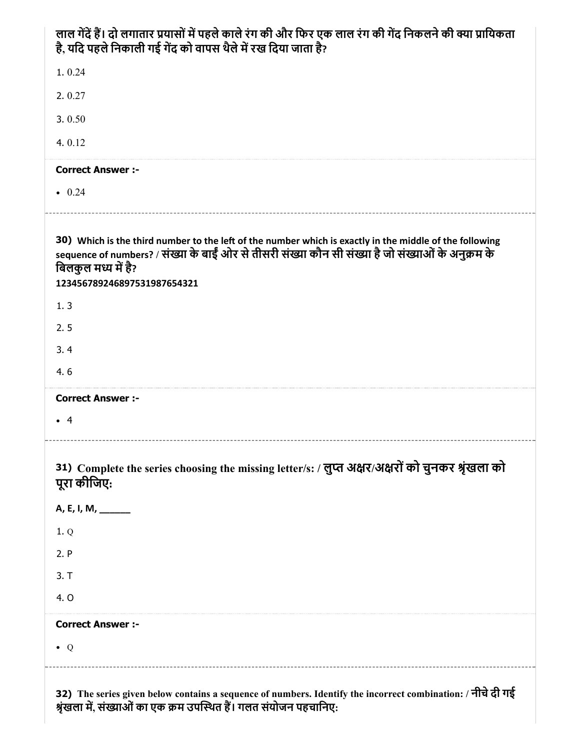| लाल गेंदें हैं। दो लगातार प्रयासों में पहले काले रंग की और फिर एक लाल रंग की गेंद निकलने की क्या प्रायिकता<br>है, यदि पहले निकाली गई गेंद को वापस थैले में रख दिया जाता है?                                                                                          |
|----------------------------------------------------------------------------------------------------------------------------------------------------------------------------------------------------------------------------------------------------------------------|
| 1.0.24                                                                                                                                                                                                                                                               |
| 2.0.27                                                                                                                                                                                                                                                               |
| 3.0.50                                                                                                                                                                                                                                                               |
| 4.0.12                                                                                                                                                                                                                                                               |
| <b>Correct Answer :-</b>                                                                                                                                                                                                                                             |
| $\bullet$ 0.24                                                                                                                                                                                                                                                       |
| 30) Which is the third number to the left of the number which is exactly in the middle of the following<br>sequence of numbers? / संख्या के बाईं ओर से तीसरी संख्या कौन सी संख्या है जो संख्याओं के अनुक्रम के<br>बिलकुल मध्य में है?<br>123456789246897531987654321 |
| 1.3                                                                                                                                                                                                                                                                  |
| 2.5                                                                                                                                                                                                                                                                  |
| 3.4                                                                                                                                                                                                                                                                  |
| 4.6                                                                                                                                                                                                                                                                  |
| <b>Correct Answer :-</b>                                                                                                                                                                                                                                             |
| $\bullet$ 4                                                                                                                                                                                                                                                          |
| 31) Complete the series choosing the missing letter/s: / लुप्त अक्षर/अक्षरों को चुनकर श्रृंखला को<br>पूरा कीजिए:                                                                                                                                                     |
| A, E, I, M, ______                                                                                                                                                                                                                                                   |
| 1.Q                                                                                                                                                                                                                                                                  |
| 2. P                                                                                                                                                                                                                                                                 |
| 3. T                                                                                                                                                                                                                                                                 |
| 4. O                                                                                                                                                                                                                                                                 |
| <b>Correct Answer :-</b>                                                                                                                                                                                                                                             |
| $\bullet$ Q                                                                                                                                                                                                                                                          |
| 32) The series given below contains a sequence of numbers. Identify the incorrect combination: / नीचे दी गई                                                                                                                                                          |

श्रृंखला में, संख्याओं का एक क्रम उपस्थित है। गलत संयोजन पहचानिए: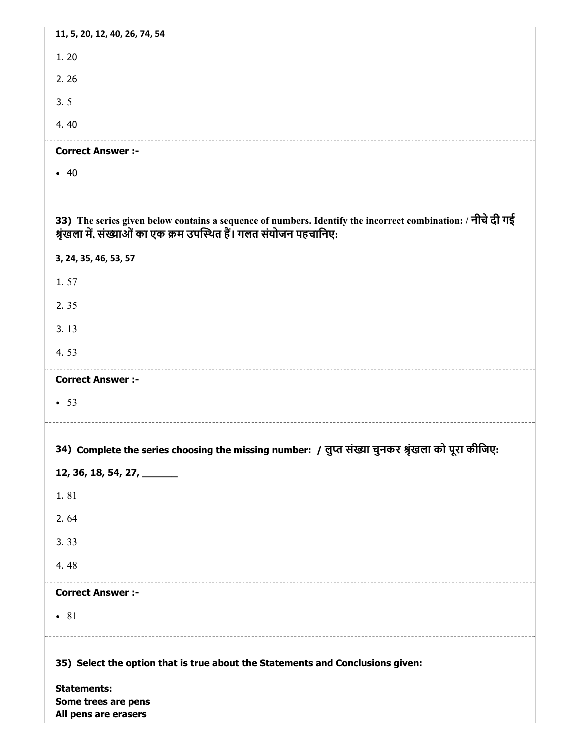| 11, 5, 20, 12, 40, 26, 74, 54                                                                                                                                                     |
|-----------------------------------------------------------------------------------------------------------------------------------------------------------------------------------|
| 1.20                                                                                                                                                                              |
| 2.26                                                                                                                                                                              |
| 3.5                                                                                                                                                                               |
| 4.40                                                                                                                                                                              |
| <b>Correct Answer :-</b>                                                                                                                                                          |
| • 40                                                                                                                                                                              |
|                                                                                                                                                                                   |
| 33) The series given below contains a sequence of numbers. Identify the incorrect combination: / नीचे दी गई<br>श्रृंखला में, संख्याओं का एक क्रम उपस्थित हैं। गलत संयोजन पहचानिए: |
| 3, 24, 35, 46, 53, 57                                                                                                                                                             |
| 1.57                                                                                                                                                                              |
| 2.35                                                                                                                                                                              |
| 3.13                                                                                                                                                                              |
| 4.53                                                                                                                                                                              |
|                                                                                                                                                                                   |
| <b>Correct Answer :-</b>                                                                                                                                                          |
| • 53                                                                                                                                                                              |
|                                                                                                                                                                                   |
| 34)  Complete the series choosing the missing number:  / लुप्त संख्या चुनकर श्रृंखला को पूरा कीजिए:                                                                               |
| 12, 36, 18, 54, 27, ______                                                                                                                                                        |
| 1.81                                                                                                                                                                              |
| 2.64                                                                                                                                                                              |
| 3.33                                                                                                                                                                              |
| 4.48                                                                                                                                                                              |
| <b>Correct Answer :-</b>                                                                                                                                                          |
| $\bullet$ 81                                                                                                                                                                      |
|                                                                                                                                                                                   |
| 35) Select the option that is true about the Statements and Conclusions given:                                                                                                    |
| <b>Statements:</b><br>Some trees are pens                                                                                                                                         |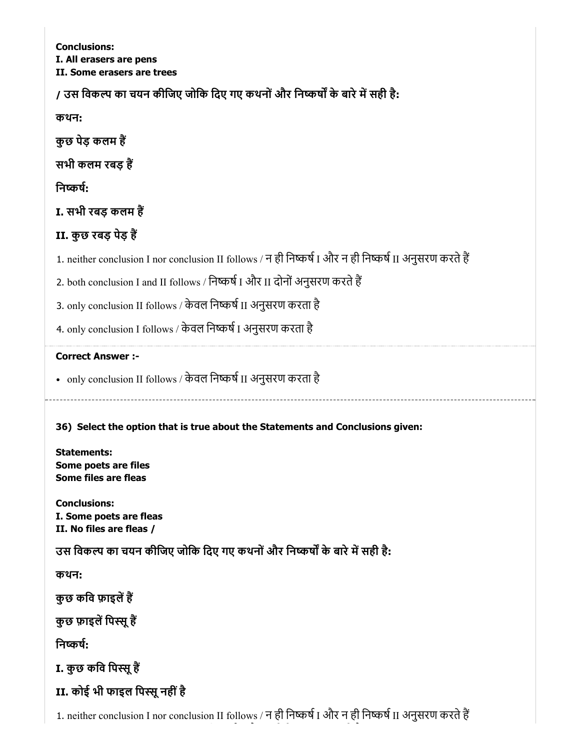Conclusions: I. All erasers are pens II. Some erasers are trees

/ उस विकल्प का चयन कीजिए जोकि दिए गए कथनों और निष्कर्षों के बारे में सही है:

कथन:

कुछ पेड़ कलम ह

सभी कलम रबड़ ह

निष्कर्ष:

I. सभी रबड़ कलम ह

# II. कुछ रबड़ पेड़ ह

1. neither conclusion I nor conclusion II follows / न ही निष्कर्ष I और न ही निष्कर्ष II अनुसरण करते हैं

2. both conclusion I and II follows / निष्कर्ष I और II दोनों अनुसरण करते हैं

3. only conclusion II follows / केवल निष्कर्ष II अनुसरण करता है

4. only conclusion I follows / केवल निष्कर्ष I अनुसरण करता है

# Correct Answer :-

• only conclusion II follows / केवल निष्कर्ष II अनुसरण करता है

36) Select the option that is true about the Statements and Conclusions given:

Statements: Some poets are files Some files are fleas

Conclusions: I. Some poets are fleas II. No files are fleas /

उस विकल्प का चयन कीजिए जोकि दिए गए कथनों और निष्कर्षों के बारे में सही है:

कथन:

कुछ कवि फ़ाइलें हैं

कुछ फ़ाइलें पिस्सू हैं

निष्कर्ष:

I. कुछ कवि पिस्सू हैं

II. कोई भी फाइल पिस्सू नहीं है

1. neither conclusion I nor conclusion II follows / न ही निष्कर्ष I और न ही निष्कर्ष II अनुसरण करते हैं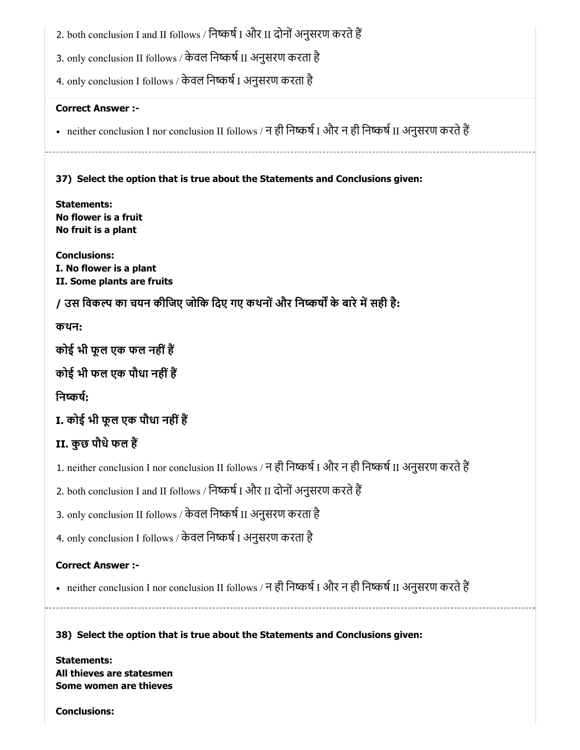2. both conclusion I and II follows / निष्कर्ष I और II दोनों अनुसरण करते हैं

3. only conclusion II follows / केवल निष्कर्ष II अनुसरण करता है

4. only conclusion I follows / केवल निष्कर्ष I अनुसरण करता है

# Correct Answer :-

• neither conclusion I nor conclusion II follows / न ही निष्कर्ष I और न ही निष्कर्ष II अनुसरण करते हैं

37) Select the option that is true about the Statements and Conclusions given:

Statements: No flower is a fruit No fruit is a plant

Conclusions: I. No flower is a plant II. Some plants are fruits

/ उस विकल्प का चयन कीजिए जोकि दिए गए कथनों और निष्कर्षों के बारे में सही है:

कथन:

कोई भी फूल एक फल नहींह

कोई भी फल एक पौधा नहींह

निष्कर्ष:

I. कोई भी फूल एक पौधा नहींह

# II. कुछ पौधेफल ह

1. neither conclusion I nor conclusion II follows / न ही निष्कर्ष I और न ही निष्कर्ष II अनुसरण करते हैं

2. both conclusion I and II follows / निष्कर्ष I और II दोनों अनुसरण करते हैं

3. only conclusion II follows / केवल निष्कर्ष II अनुसरण करता है

4. only conclusion I follows / केवल निष्कर्ष I अनुसरण करता है

# Correct Answer :-

• neither conclusion I nor conclusion II follows / न ही निष्कर्ष I और न ही निष्कर्ष II अनुसरण करते हैं

38) Select the option that is true about the Statements and Conclusions given:

Statements: All thieves are statesmen Some women are thieves

Conclusions: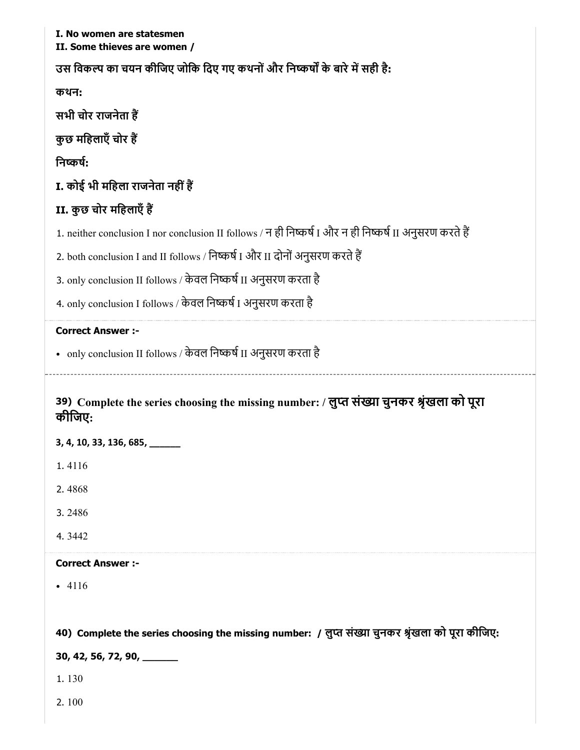| I. No women are statesmen<br>II. Some thieves are women /                                               |
|---------------------------------------------------------------------------------------------------------|
| उस विकल्प का चयन कीजिए जोकि दिए गए कथनों और निष्कर्षों के बारे में सही है:                              |
| कथन:                                                                                                    |
| सभी चोर राजनेता हैं                                                                                     |
| कुछ महिलाएँ चोर हैं                                                                                     |
| निष्कर्ष:                                                                                               |
| I. कोई भी महिला राजनेता नहीं हैं                                                                        |
| II. कुछ चोर महिलाएँ हैं                                                                                 |
| 1. neither conclusion I nor conclusion II follows / न ही निष्कर्ष I और न ही निष्कर्ष II अनुसरण करते हैं |
| 2. both conclusion I and II follows / निष्कर्ष I और II दोनों अनुसरण करते हैं                            |
| 3. only conclusion II follows / केवल निष्कर्ष II अनुसरण करता है                                         |
| 4. only conclusion I follows / केवल निष्कर्ष I अनुसरण करता है                                           |
| <b>Correct Answer :-</b>                                                                                |
| • only conclusion II follows / केवल निष्कर्ष II अनुसरण करता है                                          |
|                                                                                                         |
| 39) Complete the series choosing the missing number: / लुप्त संख्या चुनकर श्रृंखला को पूरा<br>कीजिए:    |
| 3, 4, 10, 33, 136, 685, ____                                                                            |
| 1.4116                                                                                                  |
| 2.4868                                                                                                  |
| 3.2486                                                                                                  |
| 4.3442                                                                                                  |
| <b>Correct Answer :-</b>                                                                                |
| $-4116$                                                                                                 |
|                                                                                                         |
| 40) Complete the series choosing the missing number: / लुप्त संख्या चुनकर श्रृंखला को पूरा कीजिए:       |
| 30, 42, 56, 72, 90, ______                                                                              |
| 1.130                                                                                                   |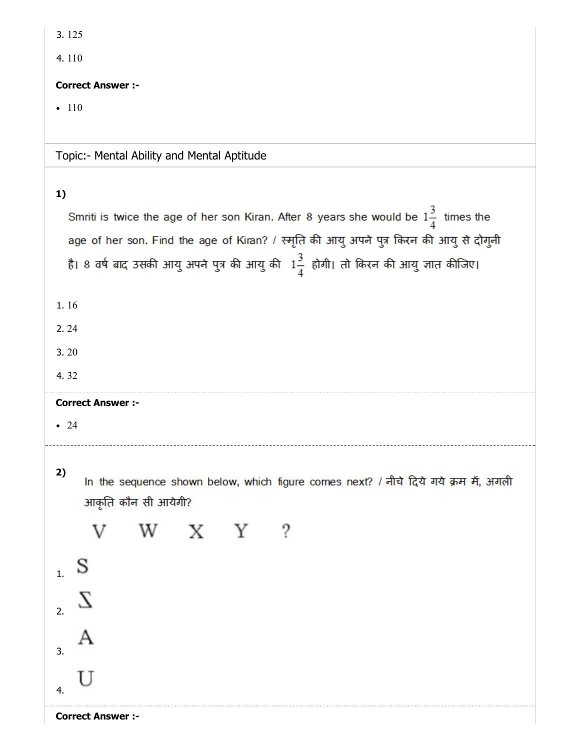| 3.125                                                                                         |
|-----------------------------------------------------------------------------------------------|
| 4.110                                                                                         |
| <b>Correct Answer :-</b>                                                                      |
| • $110$                                                                                       |
|                                                                                               |
| Topic:- Mental Ability and Mental Aptitude                                                    |
|                                                                                               |
| 1)                                                                                            |
| Smriti is twice the age of her son Kiran. After 8 years she would be $1\frac{3}{4}$ times the |
| age of her son. Find the age of Kiran? / स्मृति की आयु अपने पुत्र किरन की आयु से दोगुनी       |
| है। 8 वर्ष बाद उसकी आयु अपने पुत्र की आयु की $1\frac{3}{4}$ होगी। तो किरन की आयु ज्ञात कीजिए। |
|                                                                                               |
| 1.16                                                                                          |
| 2.24                                                                                          |
| 3.20                                                                                          |
| 4.32                                                                                          |
| <b>Correct Answer :-</b>                                                                      |
| -24                                                                                           |
|                                                                                               |
|                                                                                               |
| 2)<br>In the sequence shown below, which figure comes next? / नीचे दिये गये क्रम में, अगली    |
| आकृति कौन सी आयेगी?                                                                           |
| X Y                                                                                           |
|                                                                                               |
| 1 <sub>1</sub>                                                                                |
|                                                                                               |
| 2.                                                                                            |

3.

<sup>4.</sup> U

 $\mathbf{A}$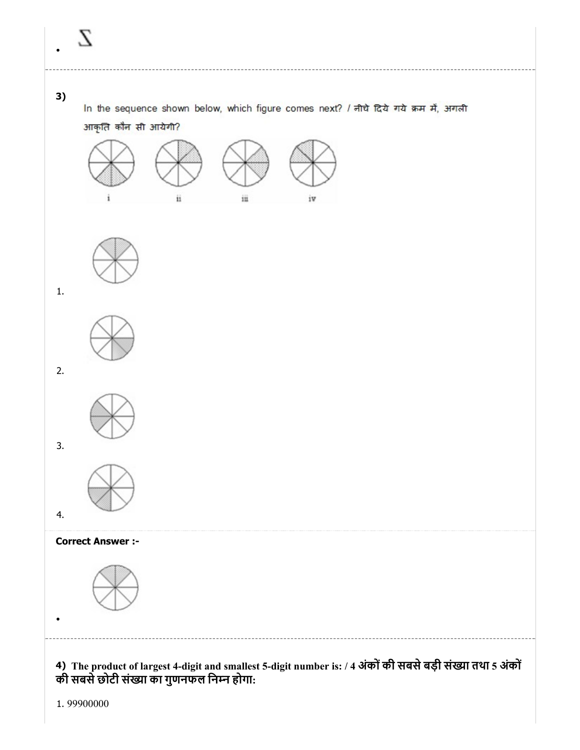# 3)

In the sequence shown below, which figure comes next? / नीचे दिये गये क्रम में, अगली आकृति कौन सी आयेगी?











3.

4.





# Correct Answer :-



4) The product of largest 4-digit and smallest 5-digit number is: / 4 अंकोंकी सबसेबड़ी संया तथा 5 अंकों की सबसे छोटी संख्या का गुणनफल निम्न होगा:

1. 99900000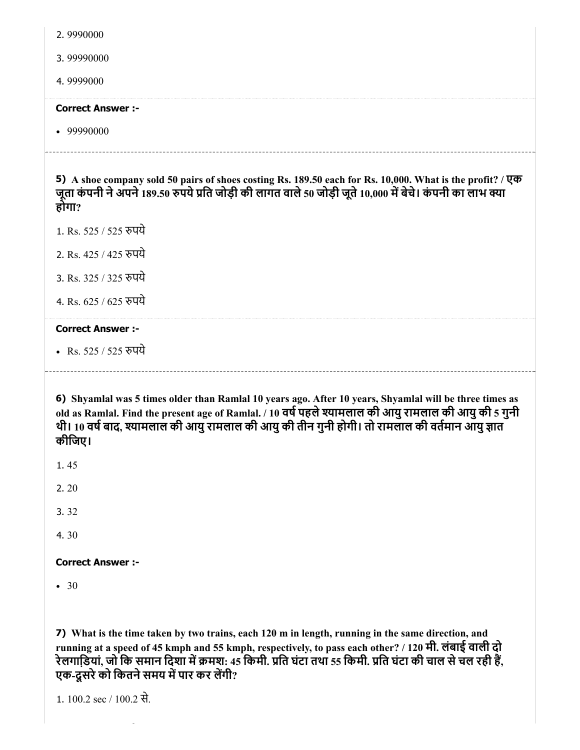2. 9990000

3. 99990000

4. 9999000

#### Correct Answer :-

• 99990000

5) A shoe company sold 50 pairs of shoes costing Rs. 189.50 each for Rs. 10,000. What is the profit? / एक जूता कंपनी ने अपने 189.50 रुपये प्रति जोड़ी की लागत वाले 50 जोड़ी जूते 10,000 में बेचे। कंपनी का लाभ क्या होगा?

1. Rs. 525 / 525 पये

- 2. Rs. 425 / 425 पये
- 3. Rs. 325 / 325 पये
- 4. Rs. 625 / 625 पये

# Correct Answer :-

• Rs. 525 / 525 रुपये

6) Shyamlal was 5 times older than Ramlal 10 years ago. After 10 years, Shyamlal will be three times as old as Ramlal. Find the present age of Ramlal. / 10 वर्ष पहले श्यामलाल की आयु रामलाल की आयु की 5 गुनी थी। 10 वर्ष बाद, श्यामलाल की आयु रामलाल की आयु की तीन गुनी होगी। तो रामलाल की वर्तमान आयु ज्ञात कीिजए।

- 1. 45
- 2. 20
- 3. 32
- 4. 30

# Correct Answer :-

 $• 30$ 

7) What is the time taken by two trains, each 120 m in length, running in the same direction, and running at a speed of 45 kmph and 55 kmph, respectively, to pass each other? / 120 मी. लंबाई वाली दो रेलगाडि़यां, जो कि समान दिशा में क्रमश: 45 किमी. प्रति घंटा तथा 55 किमी. प्रति घंटा की चाल से चल रही हैं, एक-दूसरे को कितने समय में पार कर लेंगी?

1. 100.2 sec / 100.2 से.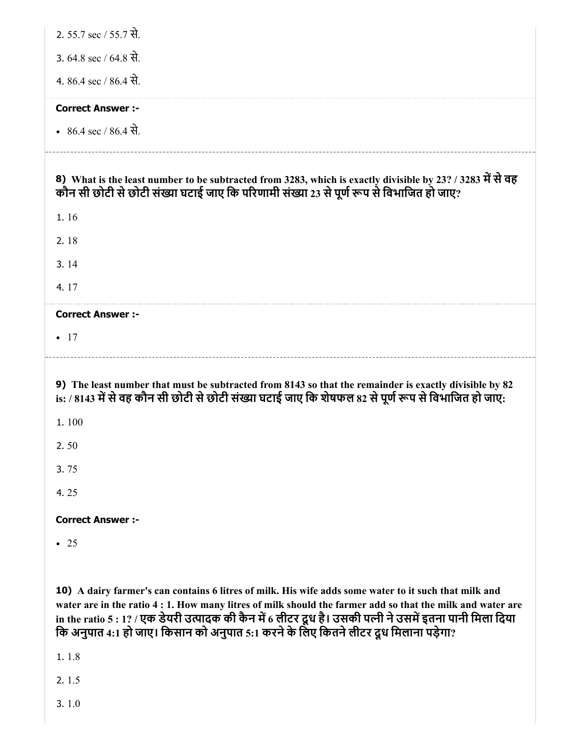| 2. 55.7 sec / 55.7 से.                                                                                                                                                                                                                                                                                                                       |
|----------------------------------------------------------------------------------------------------------------------------------------------------------------------------------------------------------------------------------------------------------------------------------------------------------------------------------------------|
| 3. $64.8$ sec / $64.8$ से.                                                                                                                                                                                                                                                                                                                   |
| 4. 86.4 sec / 86.4 से.                                                                                                                                                                                                                                                                                                                       |
| <b>Correct Answer :-</b>                                                                                                                                                                                                                                                                                                                     |
| • 86.4 sec / 86.4 से.                                                                                                                                                                                                                                                                                                                        |
| 8) What is the least number to be subtracted from 3283, which is exactly divisible by 23? / 3283 में से वह<br>कौन सी छोटी से छोटी संख्या घटाई जाए कि परिणामी संख्या 23 से पूर्ण रूप से विभाजित हो जाए?                                                                                                                                       |
| 1.16                                                                                                                                                                                                                                                                                                                                         |
| 2.18                                                                                                                                                                                                                                                                                                                                         |
| 3.14                                                                                                                                                                                                                                                                                                                                         |
| 4.17                                                                                                                                                                                                                                                                                                                                         |
| <b>Correct Answer :-</b>                                                                                                                                                                                                                                                                                                                     |
| $\bullet$ 17                                                                                                                                                                                                                                                                                                                                 |
| 9) The least number that must be subtracted from 8143 so that the remainder is exactly divisible by 82<br>is: / 8143 में से वह कौन सी छोटी से छोटी संख्या घटाई जाए कि शेषफल 82 से पूर्ण रूप से विभाजित हो जाए:                                                                                                                               |
| 1.100                                                                                                                                                                                                                                                                                                                                        |
| 2.50                                                                                                                                                                                                                                                                                                                                         |
| 3.75                                                                                                                                                                                                                                                                                                                                         |
| 4.25                                                                                                                                                                                                                                                                                                                                         |
| <b>Correct Answer :-</b>                                                                                                                                                                                                                                                                                                                     |
| $\bullet$ 25                                                                                                                                                                                                                                                                                                                                 |
|                                                                                                                                                                                                                                                                                                                                              |
| 10) A dairy farmer's can contains 6 litres of milk. His wife adds some water to it such that milk and<br>water are in the ratio 4 : 1. How many litres of milk should the farmer add so that the milk and water are<br>in the ratio 5 : 12 / <del>Ugs देशरी उ</del> त्पादक की कैस में 6 कीदर दश दे। उसकी पत्नी ने उसमें दुनमा पानी फिला दिया |

in the ratio 5 : 1? / एक डेयरी उत्पादक की कैन में 6 लीटर दूध है। उसकी पत्नी ने उसमें इतना पानी मिला दिया कि अनुपात 4:1 हो जाए। किसान को अनुपात 5:1 करने के लिए कितने लेटिर दूध मिलाना पड़ेगा?

1. 1.8

2. 1.5

3. 1.0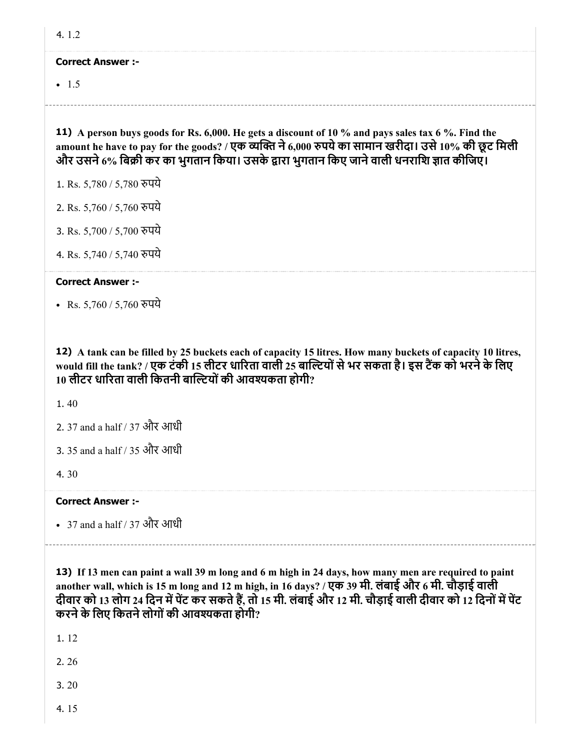#### Correct Answer :-

 $-1.5$ 

11) A person buys goods for Rs. 6,000. He gets a discount of 10 % and pays sales tax 6 %. Find the amount he have to pay for the goods? / एक व्यक्ति ने 6,000 रुपये का सामान खरीदा। उसे 10% की छूट मिली और उसने 6% बिक्री कर का भुगतान किया। उसके द्वारा भुगतान किए जाने वाली धनराशि ज्ञात कीजिए।

1. Rs. 5,780 / 5,780 पये

2. Rs. 5,760 / 5,760 पये

3. Rs. 5,700 / 5,700 पये

4. Rs. 5,740 / 5,740 पये

# Correct Answer :-

• Rs. 5,760 / 5,760 रुपये

12) A tank can be filled by 25 buckets each of capacity 15 litres. How many buckets of capacity 10 litres, would fill the tank? / एक टंकी 15 लीटर धारिता वाली 25 बाल्टियों से भर सकता है। इस टैंक को भरने के लिए 10 लीटर धारिता वाली कितनी बाल्टियों की आवश्यकता होगी?

1. 40

- 2. 37 and a half / 37 और आधी
- 3. 35 and a half / 35 और आधी

4. 30

# Correct Answer :-

37 and a half / 37 और आधी

13) If 13 men can paint a wall 39 m long and 6 m high in 24 days, how many men are required to paint another wall, which is 15 m long and 12 m high, in 16 days? / एक 39 मी. लंबाई और 6 मी. चौड़ाई वाली दीवार को 13 लोग 24 दिन में पेंट कर सकते हैं, तो 15 मी. लंबाई और 12 मी. चौड़ाई वाली दीवार को 12 दिनों में पेंट करने के लिए कितने लोगों की आवश्यकता होगी?

1. 12

2. 26

3. 20

4. 15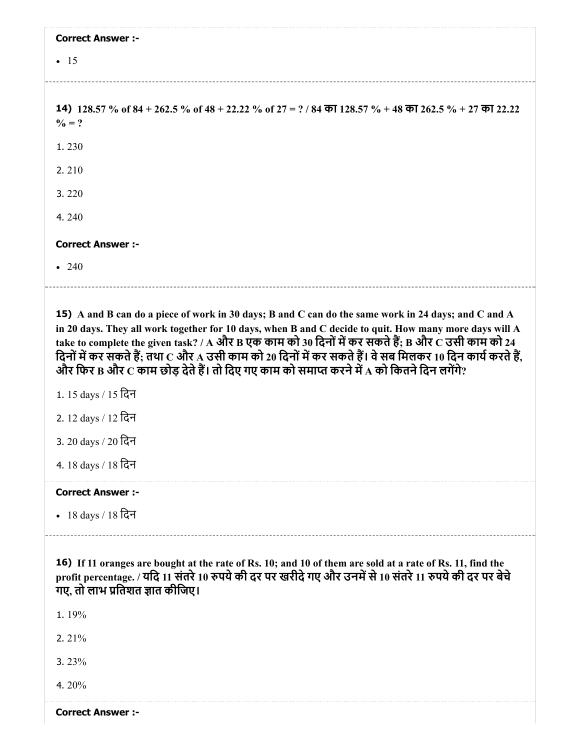| <b>Correct Answer :-</b>                                                                                          |
|-------------------------------------------------------------------------------------------------------------------|
| $\bullet$ 15                                                                                                      |
|                                                                                                                   |
| 14) 128.57 % of 84 + 262.5 % of 48 + 22.22 % of 27 = ? / 84 का 128.57 % + 48 का 262.5 % + 27 का 22.22<br>$\% = ?$ |
| 1.230                                                                                                             |
| 2.210                                                                                                             |
| 3.220                                                                                                             |
| 4.240                                                                                                             |
| <b>Correct Answer :-</b>                                                                                          |
| $\cdot$ 240                                                                                                       |
|                                                                                                                   |

15) A and B can do a piece of work in 30 days; B and C can do the same work in 24 days; and C and A in 20 days. They all work together for 10 days, when B and C decide to quit. How many more days will A take to complete the given task? / A और B एक काम को 30 दिनों में कर सकते हैं; B और C उसी काम को 24 िदनोंमकर सकतेह; तथा C और A उसी काम को 20 िदनोंमकर सकतेह। वेसब िमलकर 10 िदन कायकरतेह, और फिर B और C काम छोड़ देते हैं। तो दिए गए काम को समाप्त करने में A को कितने दिन लगेंगे?

1. 15 days / 15 िदन

- 2. 12 days / 12 िदन
- 3. 20 days / 20 िदन
- 4. 18 days / 18 िदन

# Correct Answer :-

18 days / 18 िदन

16) If 11 oranges are bought at the rate of Rs. 10; and 10 of them are sold at a rate of Rs. 11, find the profit percentage. / यदि 11 संतरे 10 रुपये की दर पर खरीदे गए और उनमें से 10 संतरे 11 रुपये की दर पर बेचे गए, तो लाभ प्रतिशत ज्ञात कीजिए।

1. 19%

2. 21%

3. 23%

4. 20%

Correct Answer :-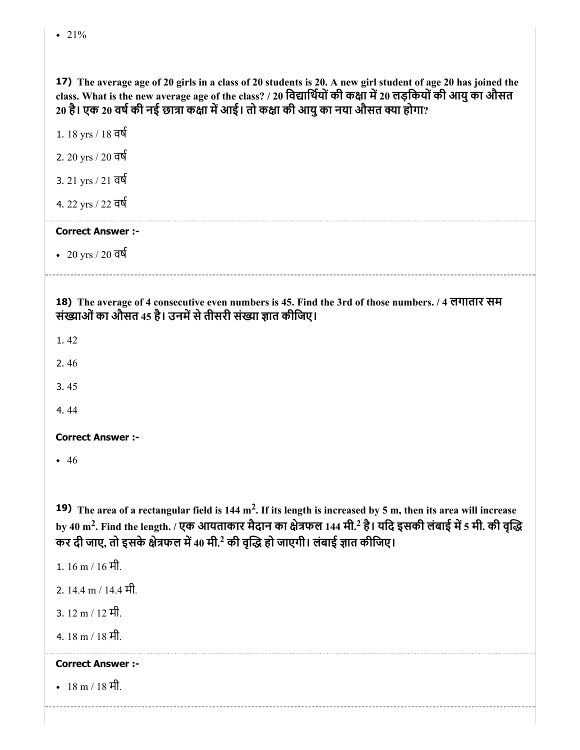17) The average age of 20 girls in a class of 20 students is 20. A new girl student of age 20 has joined the class. What is the new average age of the class? / 20 विद्यार्थियों की कक्षा में 20 लड़कियों की आयु का औसत 20 है। एक 20 वर्ष की नई छात्रा कक्षा में आई। तो कक्षा की आयु का नया औसत क्या होगा?

1. 18 yrs / 18 वष

2. 20 yrs / 20 वष

3. 21 yrs / 21 वष

4. 22 yrs / 22 वष

# Correct Answer :-

20 yrs / 20 वष

18) The average of 4 consecutive even numbers is 45. Find the 3rd of those numbers. / 4 लगातार सम संख्याओं का औसत 45 है। उनमें से तीसरी संख्या ज्ञात कीजिए।

1. 42

2. 46

3. 45

4. 44

# Correct Answer :-

 $• 46$ 

**19)** The area of a rectangular field is 144 m<sup>2</sup>. If its length is increased by 5 m, then its area will increase by 40 m<sup>2</sup>. Find the length. / एक आयताकार मैदान का क्षेत्रफल 144 मी.<sup>2</sup> है। यदि इसकी लंबाई में 5 मी. की वृद्धि कर दी जाए, तो इसके क्षेत्रफल में 40 मी.<sup>2</sup> की वृद्धि हो जाएगी। लंबाई ज्ञात कीजिए।

1. 16 m / 16 मी. 2. 14.4 m / 14.4 मी. 3. 12 m / 12 मी. 4. 18 m / 18 मी. Correct Answer :- • 18 m / 18 मी.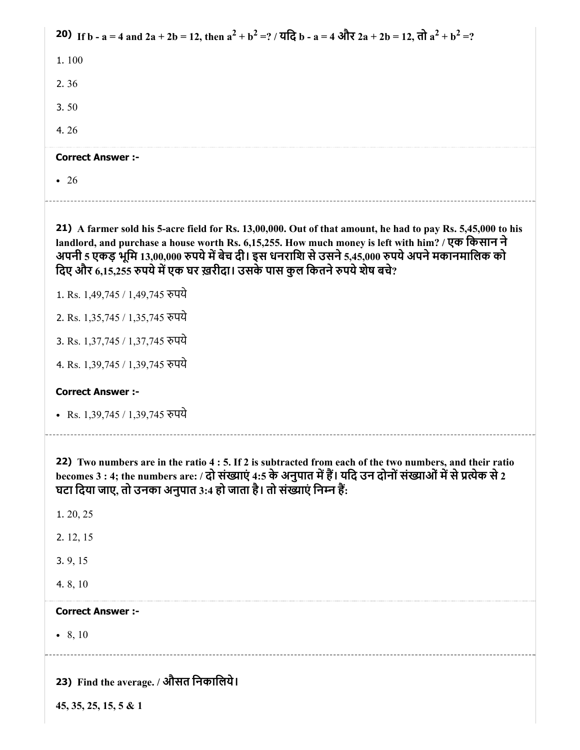| 20) If b - a = 4 and 2a + 2b = 12, then $a^2 + b^2 = ?$ / यदि b - a = 4 और 2a + 2b = 12, तो $a^2 + b^2 = ?$                                                                                                                                                                                        |
|----------------------------------------------------------------------------------------------------------------------------------------------------------------------------------------------------------------------------------------------------------------------------------------------------|
| 1.100                                                                                                                                                                                                                                                                                              |
| 2.36                                                                                                                                                                                                                                                                                               |
| 3.50                                                                                                                                                                                                                                                                                               |
| 4.26                                                                                                                                                                                                                                                                                               |
| <b>Correct Answer :-</b>                                                                                                                                                                                                                                                                           |
| $\bullet$ 26                                                                                                                                                                                                                                                                                       |
| 21) A farmer sold his 5-acre field for Rs. 13,00,000. Out of that amount, he had to pay Rs. 5,45,000 to his                                                                                                                                                                                        |
| landlord, and purchase a house worth Rs. 6,15,255. How much money is left with him? / एक किसान ने<br>अपनी 5 एकड़ भूमि 13,00,000 रुपये में बेच दी। इस धनराशि से उसने 5,45,000 रुपये अपने मकानमालिक को<br>दिए और 6,15,255 रुपये में एक घर ख़रीदा। उसके पास कुल कितने रुपये शेष बचे?                  |
| 1. Rs. 1,49,745 / 1,49,745 रुपये                                                                                                                                                                                                                                                                   |
| 2. Rs. 1,35,745 / 1,35,745 रुपये                                                                                                                                                                                                                                                                   |
| 3. Rs. 1,37,745 / 1,37,745 रुपये                                                                                                                                                                                                                                                                   |
| 4. Rs. 1,39,745 / 1,39,745 रुपये                                                                                                                                                                                                                                                                   |
| <b>Correct Answer :-</b>                                                                                                                                                                                                                                                                           |
| • Rs. 1,39,745 / 1,39,745 रुपये                                                                                                                                                                                                                                                                    |
| 22) Two numbers are in the ratio 4 : 5. If 2 is subtracted from each of the two numbers, and their ratio<br>becomes 3 : 4; the numbers are: / दो संख्याएं 4:5 के अनुपात में हैं। यदि उन दोनों संख्याओं में से प्रत्येक से 2<br>घटा दिया जाए, तो उनका अनुपात 3:4 हो जाता है। तो संख्याएं निम्न हैं: |
| 1. 20, 25                                                                                                                                                                                                                                                                                          |
| 2. 12, 15                                                                                                                                                                                                                                                                                          |
| 3.9, 15                                                                                                                                                                                                                                                                                            |
| 4.8, 10                                                                                                                                                                                                                                                                                            |
| <b>Correct Answer :-</b>                                                                                                                                                                                                                                                                           |
| • 8, 10                                                                                                                                                                                                                                                                                            |
| 23) Find the average. / औसत निकालिये।                                                                                                                                                                                                                                                              |
| $45, 35, 25, 15, 5 \& 1$                                                                                                                                                                                                                                                                           |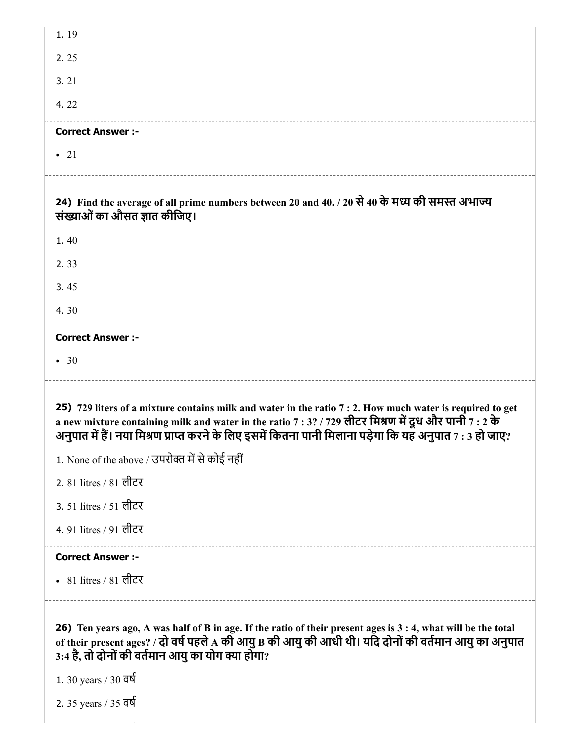| 1.19                                                                                                                                                                                                                                                                                                                            |
|---------------------------------------------------------------------------------------------------------------------------------------------------------------------------------------------------------------------------------------------------------------------------------------------------------------------------------|
| 2.25                                                                                                                                                                                                                                                                                                                            |
| 3.21                                                                                                                                                                                                                                                                                                                            |
| 4.22                                                                                                                                                                                                                                                                                                                            |
| <b>Correct Answer :-</b>                                                                                                                                                                                                                                                                                                        |
| $\bullet$ 21                                                                                                                                                                                                                                                                                                                    |
| 24) Find the average of all prime numbers between 20 and 40. / 20 से 40 के मध्य की समस्त अभाज्य<br>संख्याओं का औसत ज्ञात कीजिए।                                                                                                                                                                                                 |
| 1.40                                                                                                                                                                                                                                                                                                                            |
| 2.33                                                                                                                                                                                                                                                                                                                            |
| 3.45                                                                                                                                                                                                                                                                                                                            |
| 4.30                                                                                                                                                                                                                                                                                                                            |
| <b>Correct Answer :-</b>                                                                                                                                                                                                                                                                                                        |
| • 30                                                                                                                                                                                                                                                                                                                            |
| 25) 729 liters of a mixture contains milk and water in the ratio 7 : 2. How much water is required to get<br>a new mixture containing milk and water in the ratio 7 : 3? / 729 लीटर मिश्रण में दूध और पानी 7 : 2 के<br>(अनुपात में हैं। नया मिश्रण प्राप्त करने के लिए इसमें कितना पानी मिलाना पड़ेगा कि यह अनुपात 7 : 3 हो जाए |
| 1. None of the above / उपरोक्त में से कोई नहीं                                                                                                                                                                                                                                                                                  |
| 2. 81 litres / 81 लीटर                                                                                                                                                                                                                                                                                                          |
| 3. 51 litres / 51 लीटर                                                                                                                                                                                                                                                                                                          |
| 4.91 litres / 91 लीटर                                                                                                                                                                                                                                                                                                           |
| <b>Correct Answer:-</b>                                                                                                                                                                                                                                                                                                         |
| • 81 litres / 81 लीटर                                                                                                                                                                                                                                                                                                           |
| 26) Ten years ago, A was half of B in age. If the ratio of their present ages is 3 : 4, what will be the total<br>of their present ages? / दो वर्ष पहले A की आयु B की आयु की आधी थी। यदि दोनों की वर्तमान आयु का अनुपात<br>3:4 है, तो दोनों की वर्तमान आयु का योग क्या होगा?<br>1.30 years / 30 वर्ष                            |

2. 35 years / 35 वष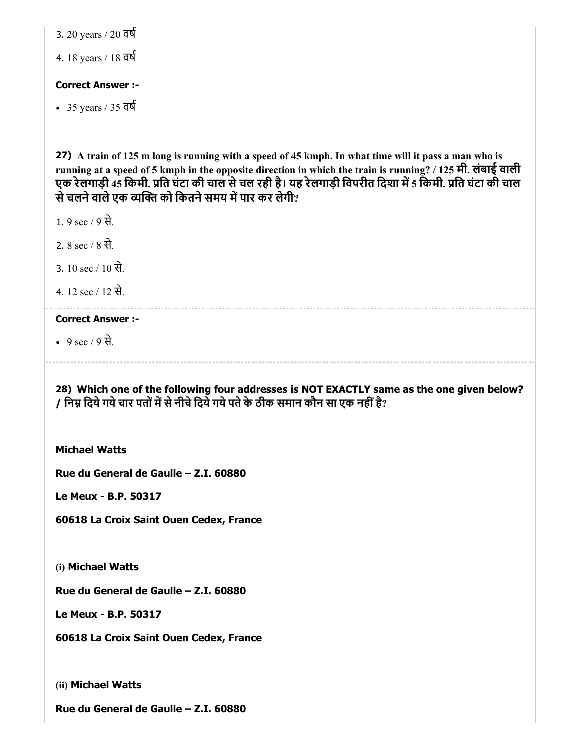3. 20 years / 20 वष

4. 18 years / 18 वष

### Correct Answer :-

 $-35$  years / 35 वर्ष

27) A train of 125 m long is running with a speed of 45 kmph. In what time will it pass a man who is running at a speed of 5 kmph in the opposite direction in which the train is running? / 125 मी. लंबाई वाली एक रेलगाड़ी 45 किमी. प्रति घंटा की चाल से चल रही है। यह रेलगाड़ी विपरीत दिशा में 5 किमी. प्रति घंटा की चाल से चलने वाले एक व्यक्ति को कितने समय में पार कर लेगी?

1. 9 sec / 9 से.

2. 8 sec  $/$  8 से.

3. 10 sec / 10 से.

4. 12 sec / 12 से.

# Correct Answer :-

9 sec / 9 से.

28) Which one of the following four addresses is NOT EXACTLY same as the one given below? / निम्न दिये गये चार पतों में से नीचे दिये गये पते के ठीक समान कौन सा एक नहीं है?

Michael Watts

Rue du General de Gaulle – Z.I. 60880

Le Meux - B.P. 50317

60618 La Croix Saint Ouen Cedex, France

(i) Michael Watts

Rue du General de Gaulle – Z.I. 60880

Le Meux - B.P. 50317

60618 La Croix Saint Ouen Cedex, France

(ii) Michael Watts

Rue du General de Gaulle – Z.I. 60880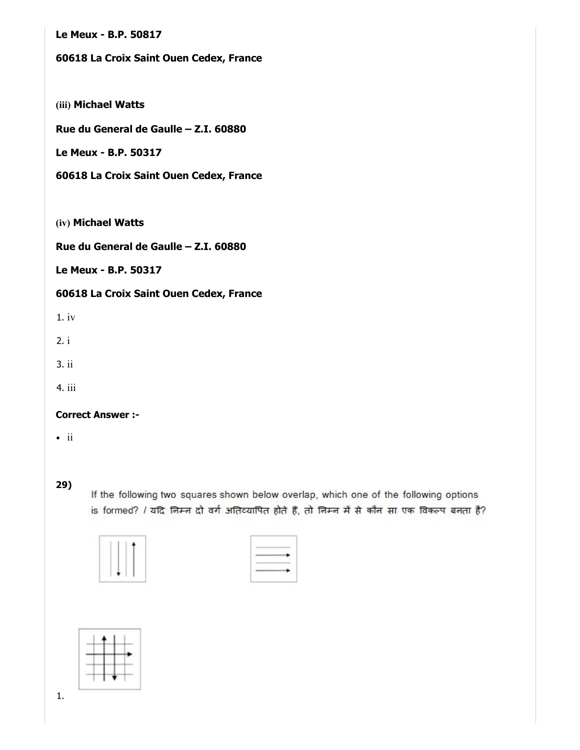Le Meux - B.P. 50817

# 60618 La Croix Saint Ouen Cedex, France

(iii) Michael Watts

Rue du General de Gaulle – Z.I. 60880

Le Meux - B.P. 50317

60618 La Croix Saint Ouen Cedex, France

(iv) Michael Watts

Rue du General de Gaulle – Z.I. 60880

Le Meux - B.P. 50317

60618 La Croix Saint Ouen Cedex, France

1. iv

2. i

3. ii

4. iii

#### Correct Answer :-

 $\cdot$  ii

29)

If the following two squares shown below overlap, which one of the following options is formed? / यदि निम्न दो वर्ग अतिव्यापित होते हैं, तो निम्न में से कौन सा एक विकल्प बनता है?

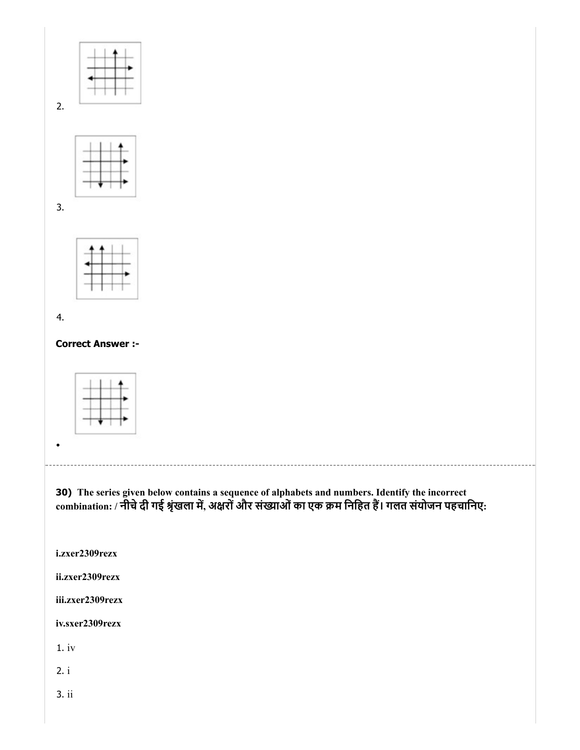



3.

2.



4.

Correct Answer :-



30) The series given below contains a sequence of alphabets and numbers. Identify the incorrect combination: / नीचे दी गई श्रृंखला में, अक्षरों और संख्याओं का एक क्रम निहित है। गलत संयोजन पहचानिए:

i.zxer2309rezx

ii.zxer2309rezx

iii.zxer2309rezx

iv.sxer2309rezx

1. iv

2. i

3. ii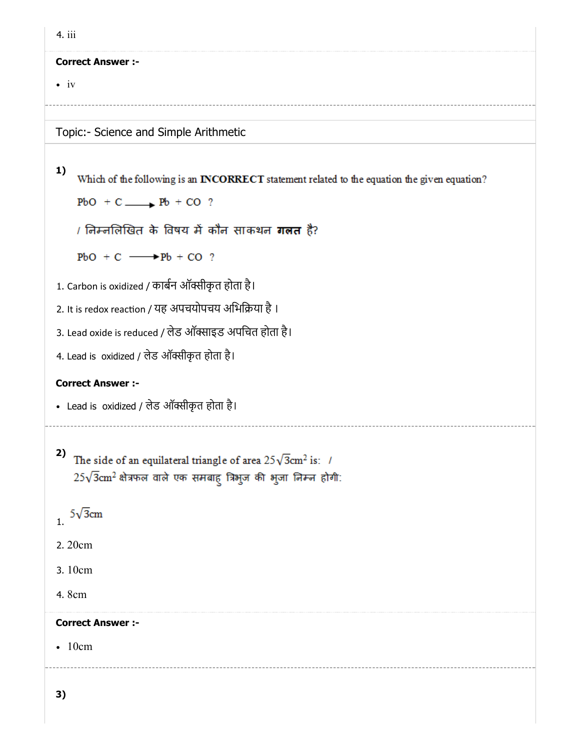| 4. iii                                                                                             |  |
|----------------------------------------------------------------------------------------------------|--|
| <b>Correct Answer :-</b>                                                                           |  |
| $\bullet$ iv                                                                                       |  |
| Topic:- Science and Simple Arithmetic                                                              |  |
| 1)<br>Which of the following is an INCORRECT statement related to the equation the given equation? |  |
| $PbO + C \longrightarrow Pb + CO$ ?                                                                |  |
| <i>।</i> निम्नलिखित के विषय में कौन साकथन <b>गलत</b> है?                                           |  |
|                                                                                                    |  |
| $PbO + C \longrightarrow Pb + CO$ ?                                                                |  |
| 1. Carbon is oxidized / कार्बन ऑक्सीकृत होता है।                                                   |  |
| 2. It is redox reaction / यह अपचयोपचय अभिक्रिया है ।                                               |  |
| 3. Lead oxide is reduced / लेड ऑक्साइड अपचित होता है।                                              |  |
| 4. Lead is oxidized / लेड ऑक्सीकृत होता है।                                                        |  |
| <b>Correct Answer :-</b>                                                                           |  |
| • Lead is oxidized / लेड ऑक्सीकृत होता है।                                                         |  |
| 2)<br>The side of an equilateral triangle of area $25\sqrt{3}$ cm <sup>2</sup> is: /               |  |
| $25\sqrt{3}$ cm <sup>2</sup> क्षेत्रफल वाले एक समबाहु त्रिभुज की भुजा निम्न होगी:                  |  |
|                                                                                                    |  |
| $1.5\sqrt{3}$ cm                                                                                   |  |
| 2.20cm                                                                                             |  |
| 3.10cm                                                                                             |  |
| 4.8cm                                                                                              |  |
| <b>Correct Answer :-</b>                                                                           |  |
| $\bullet$ 10cm                                                                                     |  |
|                                                                                                    |  |
| 3)                                                                                                 |  |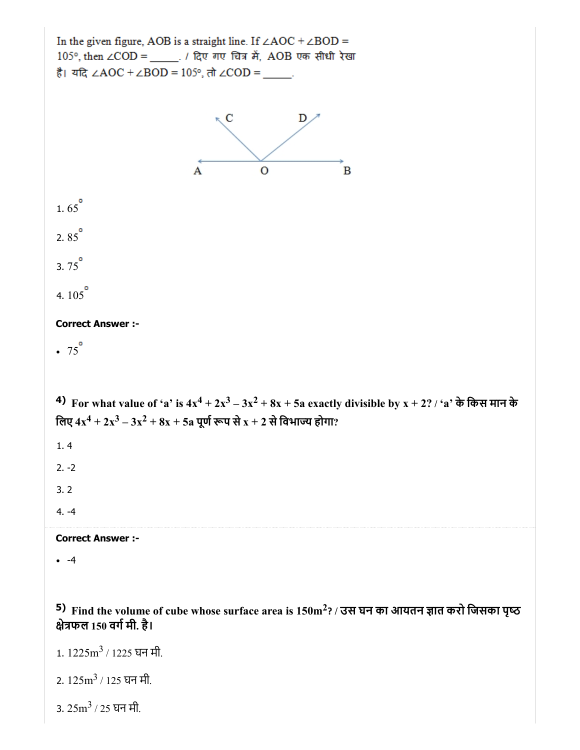

2. 125m<sup>3</sup> / 125 घन मी.

3. 25m<sup>3</sup> / 25 घन मी.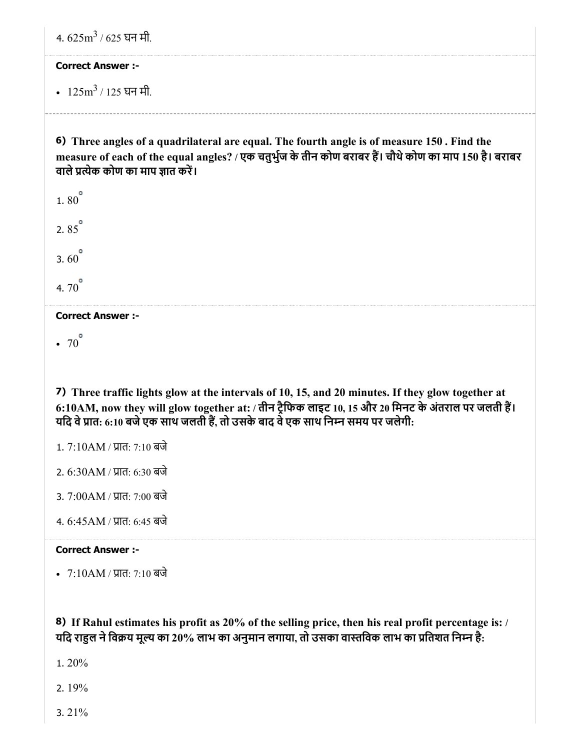4. 625m<sup>3</sup> / 625 घन मी.

### Correct Answer :-

125m<sup>3</sup> / 125 घन मी.

6) Three angles of a quadrilateral are equal. The fourth angle is of measure 150 . Find the measure of each of the equal angles? / एक चतुर्भुज के तीन कोण बराबर हैं। चौथे कोण का माप 150 है। बराबर वाले प्रत्येक कोण का माप ज्ञात करें।

1.80 $^{\circ}$ 2. $85^{\circ}$ 3.60 $^{\circ}$ 4.  $70^{\circ}$ 

# Correct Answer :-

 $\cdot 70^{\circ}$ 

7) Three traffic lights glow at the intervals of 10, 15, and 20 minutes. If they glow together at 6:10AM, now they will glow together at: / तीन ट्रैफिक लाइट 10, 15 और 20 मिनट के अंतराल पर जलती हैं। यदि वे प्रात: 6:10 बजे एक साथ जलती हैं, तो उसके बाद वे एक साथ निम्न समय पर जलेगी:

- 1. 7:10AM / प्रात: 7:10 बजे
- 2. 6:30AM / प्रात: 6:30 बजे
- 3. 7:00AM / प्रात: 7:00 बजे
- 4. 6:45AM / प्रात: 6:45 बजे

# Correct Answer :-

• 7:10AM / प्रात: 7:10 बजे

8) If Rahul estimates his profit as 20% of the selling price, then his real profit percentage is: / यदि राहुल ने विक्रय मूल्य का 20% लाभ का अनुमान लगाया, तो उसका वास्तविक लाभ का प्रतिशत निम्न है:

- 1. 20%
- 2. 19%
- 3. 21%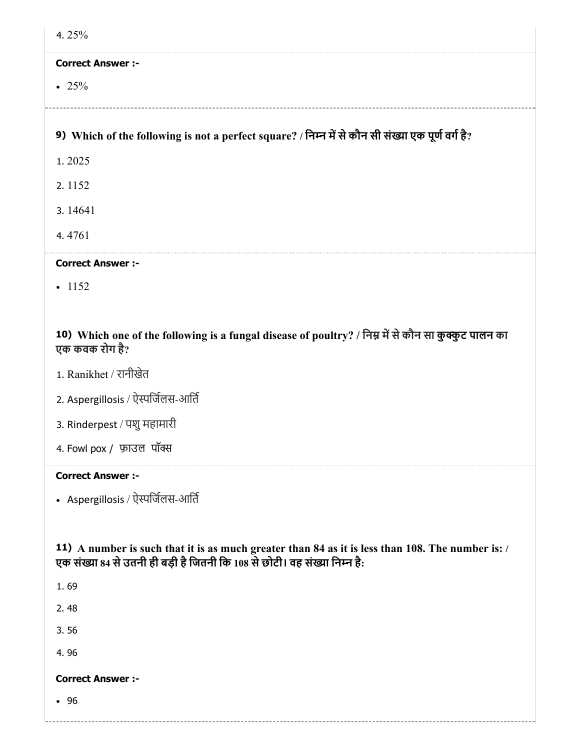| 4.25%                                                                                                                                                                         |
|-------------------------------------------------------------------------------------------------------------------------------------------------------------------------------|
| <b>Correct Answer :-</b>                                                                                                                                                      |
| • 25%                                                                                                                                                                         |
|                                                                                                                                                                               |
| 9) Which of the following is not a perfect square? / निम्न में से कौन सी संख्या एक पूर्ण वर्ग है?                                                                             |
| 1.2025                                                                                                                                                                        |
| 2.1152                                                                                                                                                                        |
| 3.14641                                                                                                                                                                       |
| 4.4761                                                                                                                                                                        |
| <b>Correct Answer :-</b>                                                                                                                                                      |
| $-1152$                                                                                                                                                                       |
|                                                                                                                                                                               |
| 10) Which one of the following is a fungal disease of poultry? / निम्न में से कौन सा कुक्कुट पालन का<br>एक कवक रोग है?                                                        |
| 1. Ranikhet / रानीखेत                                                                                                                                                         |
| 2. Aspergillosis / ऐस्पर्जिलस-आर्ति                                                                                                                                           |
| 3. Rinderpest / पशु महामारी                                                                                                                                                   |
| 4. Fowl pox / फ़ाउल पॉक्स                                                                                                                                                     |
| <b>Correct Answer :-</b>                                                                                                                                                      |
| • Aspergillosis / ऐस्पर्जिलस-आर्ति                                                                                                                                            |
|                                                                                                                                                                               |
| 11) A number is such that it is as much greater than 84 as it is less than 108. The number is: /<br>एक संख्या 84 से उतनी ही बड़ी है जितनी कि 108 से छोटी। वह संख्या निम्न है: |
| 1.69                                                                                                                                                                          |
| 2.48                                                                                                                                                                          |
| 3.56                                                                                                                                                                          |
| 4.96                                                                                                                                                                          |
| <b>Correct Answer :-</b>                                                                                                                                                      |
| •96                                                                                                                                                                           |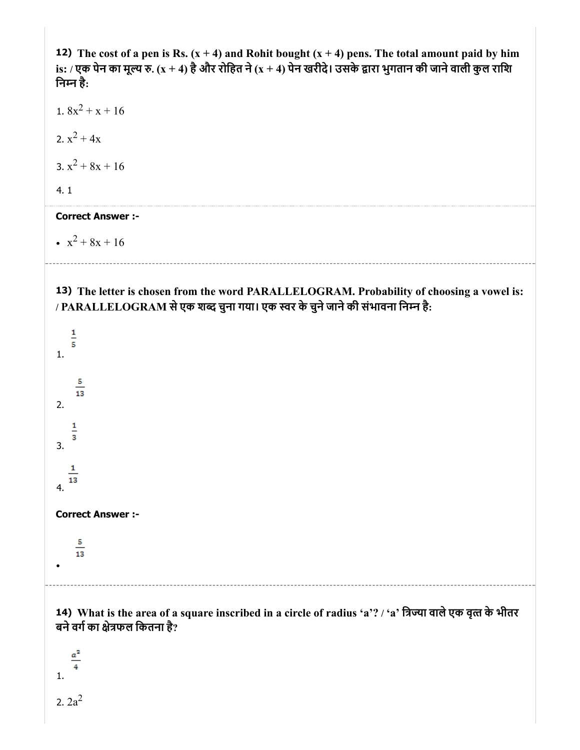12) The cost of a pen is Rs.  $(x + 4)$  and Rohit bought  $(x + 4)$  pens. The total amount paid by him is: / एक पेन का मूल्य रु. (x + 4) है और रोहित ने (x + 4) पेन खरीदे। उसके द्वारा भुगतान की जाने वाली कुल राशि िनन है:

1.  $8x^2 + x + 16$ 2.  $x^2 + 4x$ 3.  $x^2 + 8x + 16$ 4. 1

#### Correct Answer :-

 $x^2 + 8x + 16$ 

13) The letter is chosen from the word PARALLELOGRAM. Probability of choosing a vowel is: / PARALLELOGRAM सेएक शद चुना गया। एक वर के चुनेजानेकी संभावना िनन है:

 $\frac{1}{5}$ 1. 5  $\overline{13}$ 2.  $\mathbf{1}$  $\overline{\mathbf{3}}$ 3.  $\mathbf{1}$  $\overline{13}$ 4. Correct Answer :-  $\frac{5}{13}$ 14) What is the area of a square inscribed in a circle of radius 'a'? / 'a' िया वालेएक वृत के भीतर बने वर्ग का क्षेत्रफल कितना है?  $a^2$ 4 1. 2.  $2a^2$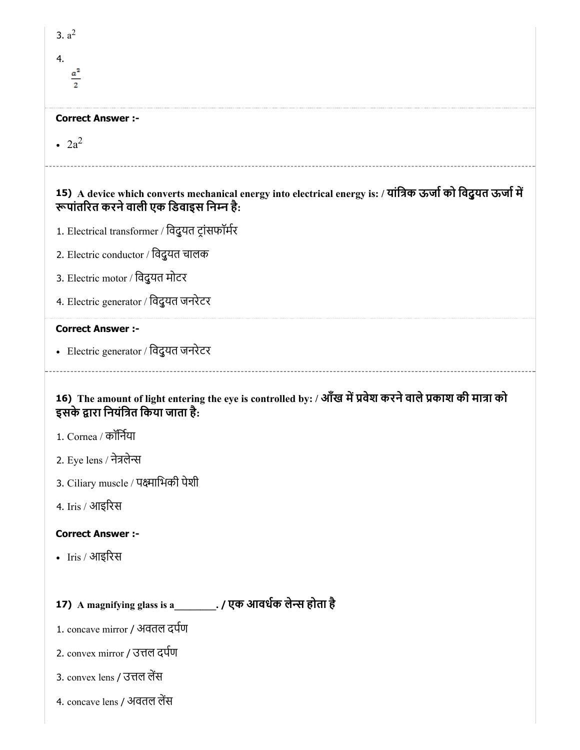| 3. $a^2$                                                                                                                                                 |
|----------------------------------------------------------------------------------------------------------------------------------------------------------|
| 4.                                                                                                                                                       |
| $rac{a^2}{2}$                                                                                                                                            |
| <b>Correct Answer :-</b>                                                                                                                                 |
|                                                                                                                                                          |
| $\cdot$ 2a <sup>2</sup>                                                                                                                                  |
| 15) A device which converts mechanical energy into electrical energy is: / यांत्रिक ऊर्जा को विदुयत ऊर्जा में<br>रूपांतरित करने वाली एक डिवाइस निम्न है: |
| 1. Electrical transformer / विदुयत ट्रांसफॉर्मर                                                                                                          |
| 2. Electric conductor / विदुयत चालक                                                                                                                      |
| 3. Electric motor / विदुयत मोटर                                                                                                                          |
| 4. Electric generator / विदुयत जनरेटर                                                                                                                    |
| <b>Correct Answer :-</b>                                                                                                                                 |
| • Electric generator / विदुयत जनरेटर                                                                                                                     |
|                                                                                                                                                          |
| 16) The amount of light entering the eye is controlled by: / आँख में प्रवेश करने वाले प्रकाश की मात्रा को<br>इसके द्वारा नियंत्रित किया जाता है:         |
| 1. Cornea / कॉर्निया                                                                                                                                     |
| 2. Eye lens / नेत्रलेन्स                                                                                                                                 |
| 3. Ciliary muscle / पक्ष्माभिकी पेशी                                                                                                                     |
| 4. Iris / आइरिस                                                                                                                                          |
| <b>Correct Answer :-</b>                                                                                                                                 |
| • Iris / आइरिस                                                                                                                                           |
|                                                                                                                                                          |
| 17) A magnifying glass is a_________. / एक आवर्धक लेन्स होता है                                                                                          |
| 1. concave mirror / अवतल दर्पण                                                                                                                           |
| 2. convex mirror / उत्तल दर्पण                                                                                                                           |
| 3. convex lens / उत्तल लेंस                                                                                                                              |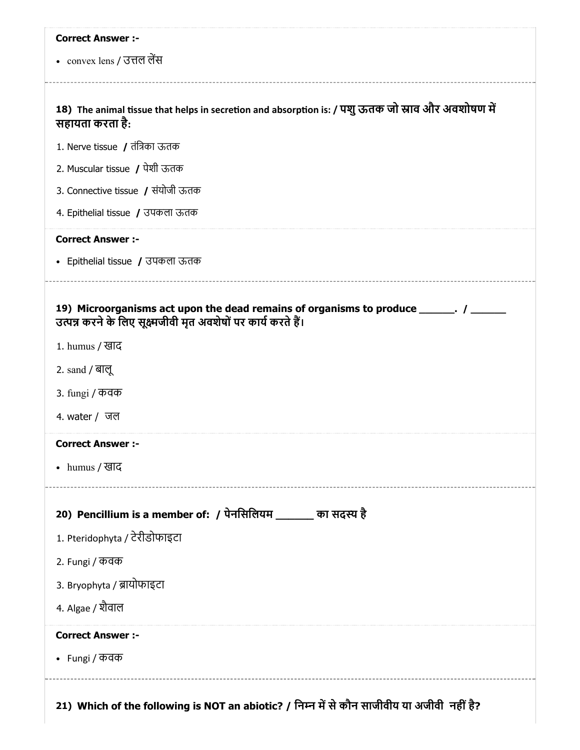| <b>Correct Answer :-</b>                                                                                                                                |
|---------------------------------------------------------------------------------------------------------------------------------------------------------|
| • convex lens / उत्तल लेंस                                                                                                                              |
|                                                                                                                                                         |
| 18) The animal tissue that helps in secretion and absorption is: / पशु ऊतक जो स्नाव और अवशोषण में<br>सहायता करता है:                                    |
| 1. Nerve tissue / तंत्रिका ऊतक                                                                                                                          |
| 2. Muscular tissue / पेशी ऊतक                                                                                                                           |
| 3. Connective tissue / संयोजी ऊतक                                                                                                                       |
| 4. Epithelial tissue / उपकला ऊतक                                                                                                                        |
| <b>Correct Answer :-</b>                                                                                                                                |
| • Epithelial tissue / उपकला ऊतक                                                                                                                         |
|                                                                                                                                                         |
| 19) Microorganisms act upon the dead remains of organisms to produce ______. / ______<br>उत्पन्न करने के लिए सूक्ष्मजीवी मृत अवशेषों पर कार्य करते हैं। |
| 1. humus / खाद                                                                                                                                          |
| 2. sand / बालू                                                                                                                                          |
| 3. fungi / कवक                                                                                                                                          |
| 4. water / जल                                                                                                                                           |
| <b>Correct Answer :-</b>                                                                                                                                |
| • humus / खाद                                                                                                                                           |
|                                                                                                                                                         |
| 20) Pencillium is a member of: / पेनसिलियम ______ का सदस्य है                                                                                           |
| 1. Pteridophyta / टेरीडोफाइटा                                                                                                                           |
| 2. Fungi / कवक                                                                                                                                          |
| 3. Bryophyta / ब्रायोफाइटा                                                                                                                              |
| 4. Algae / शैवाल                                                                                                                                        |
|                                                                                                                                                         |
| <b>Correct Answer :-</b>                                                                                                                                |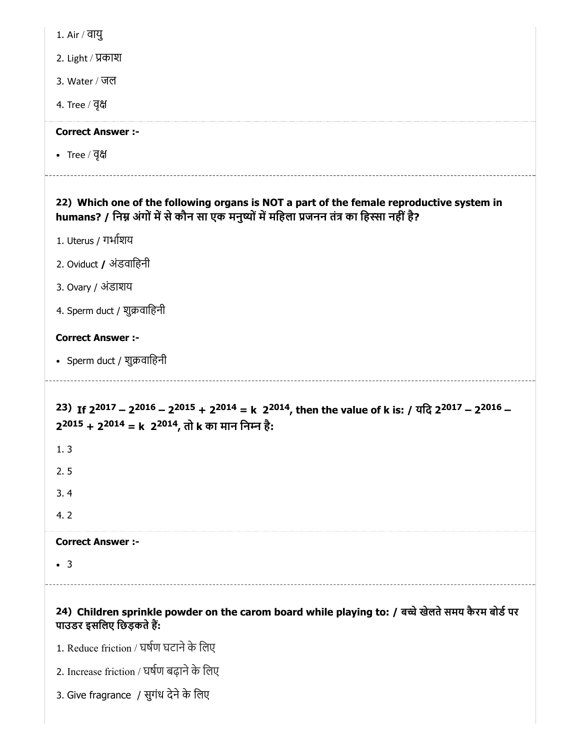|  | Air $/$ |  | वाय |  |
|--|---------|--|-----|--|
|--|---------|--|-----|--|

2. Light / काश

3. Water / जल

4. Tree / वृ

#### Correct Answer :-

• Tree / वृक्ष

# 22) Which one of the following organs is NOT a part of the female reproductive system in humans? / निम्न अंगों में से कौन सा एक मनुष्यों में महिला प्रजनन तंत्र का हिस्सा नहीं है?

- 1. Uterus / गभाशय
- 2. Oviduct / अंडवािहनी
- 3. Ovary / अंडाशय
- 4. Sperm duct / शुक्रवाहिनी

# Correct Answer :-

• Sperm duct / शुक्रवाहिनी

23) If  $2^{2017} - 2^{2016} - 2^{2015} + 2^{2014} = k$   $2^{2014}$ , then the value of k is: / यदि  $2^{2017} - 2^{2016} -$ 2<sup>2015</sup> + 2<sup>2014</sup> = k 2<sup>2014</sup>, तो k का मान निम्न है:

1. 3

2. 5

3. 4

4. 2

# Correct Answer :-

3

# 24) Children sprinkle powder on the carom board while playing to: / बच्चे खेलते समय कैरम बोर्ड पर पाउडर इसलिए छिड़कते हैं:

- 1. Reduce friction / घर्षण घटाने के लिए
- 2. Increase friction / घर्षण बढ़ाने के लिए
- 3. Give fragrance / सुगंध देने के लिए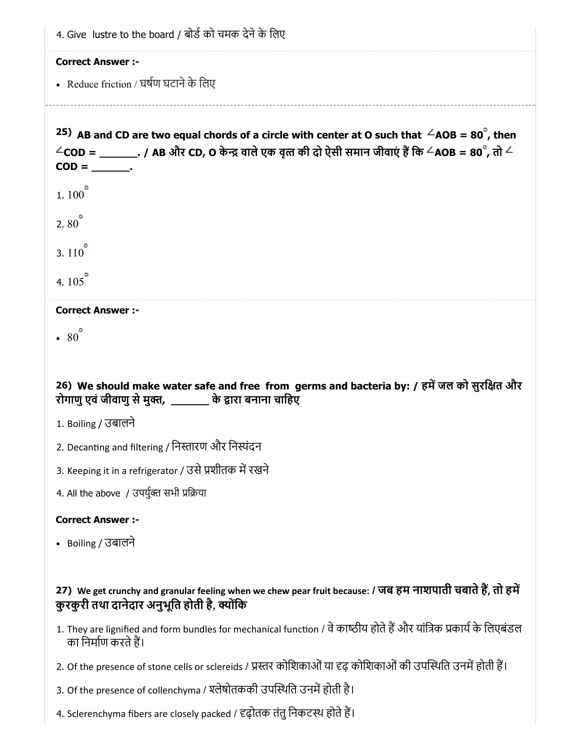| 4. Give lustre to the board / बोर्ड को चमक देने के लिए                                                                                                      |
|-------------------------------------------------------------------------------------------------------------------------------------------------------------|
| <b>Correct Answer :-</b>                                                                                                                                    |
| • Reduce friction / घर्षण घटाने के लिए                                                                                                                      |
|                                                                                                                                                             |
| <sup>25)</sup> AB and CD are two equal chords of a circle with center at O such that $\angle AOB = 80^\circ$ , then                                         |
| $\angle$ COD = _________. / AB और CD, O केन्द्र वाले एक वृत्त की दो ऐसी समान जीवाएं हैं कि $\angle$ AOB = 80 $^\circ$ , तो $\angle$                         |
|                                                                                                                                                             |
| $1.100$ <sup><math>\degree</math></sup>                                                                                                                     |
| $2.80^{\circ}$                                                                                                                                              |
| 3. $110^{\circ}$                                                                                                                                            |
| 4. $105^{\circ}$                                                                                                                                            |
| <b>Correct Answer :-</b>                                                                                                                                    |
| $\cdot$ 80                                                                                                                                                  |
|                                                                                                                                                             |
| 26) We should make water safe and free from germs and bacteria by: / हमें जल को सुरक्षित और                                                                 |
| रोगाणु एवं जीवाणु से मुक्त, ________ के द्वारा बनाना चाहिए                                                                                                  |
| 1. Boiling / उबालने                                                                                                                                         |
| 2. Decanting and filtering / निस्तारण और निस्पंदन                                                                                                           |
| 3. Keeping it in a refrigerator / उसे प्रशीतक में रखने                                                                                                      |
| 4. All the above / उपर्युक्त सभी प्रक्रिया                                                                                                                  |
| <b>Correct Answer :-</b>                                                                                                                                    |
| • Boiling / उबालने                                                                                                                                          |
|                                                                                                                                                             |
| 27) We get crunchy and granular feeling when we chew pear fruit because: / जब हम नाशपाती चबाते हैं, तो हमें<br>कुरकुरी तथा दानेदार अनुभूति होती है, क्योंकि |
| 1. They are lignified and form bundles for mechanical function / वे काष्ठीय होते हैं और यांत्रिक प्रकार्य के लिएबंडल<br>का निर्माण करते हैं।                |

- 2. Of the presence of stone cells or sclereids / प्रस्तर कोशिकाओं या दृढ़ कोशिकाओं की उपस्थिति उनमें होती हैं।
- 3. Of the presence of collenchyma / श्लेषोतककी उपस्थिति उनमें होती है।
- 4. Sclerenchyma fibers are closely packed / दृढ़ोतक तंतु निकटस्थ होते हैं।